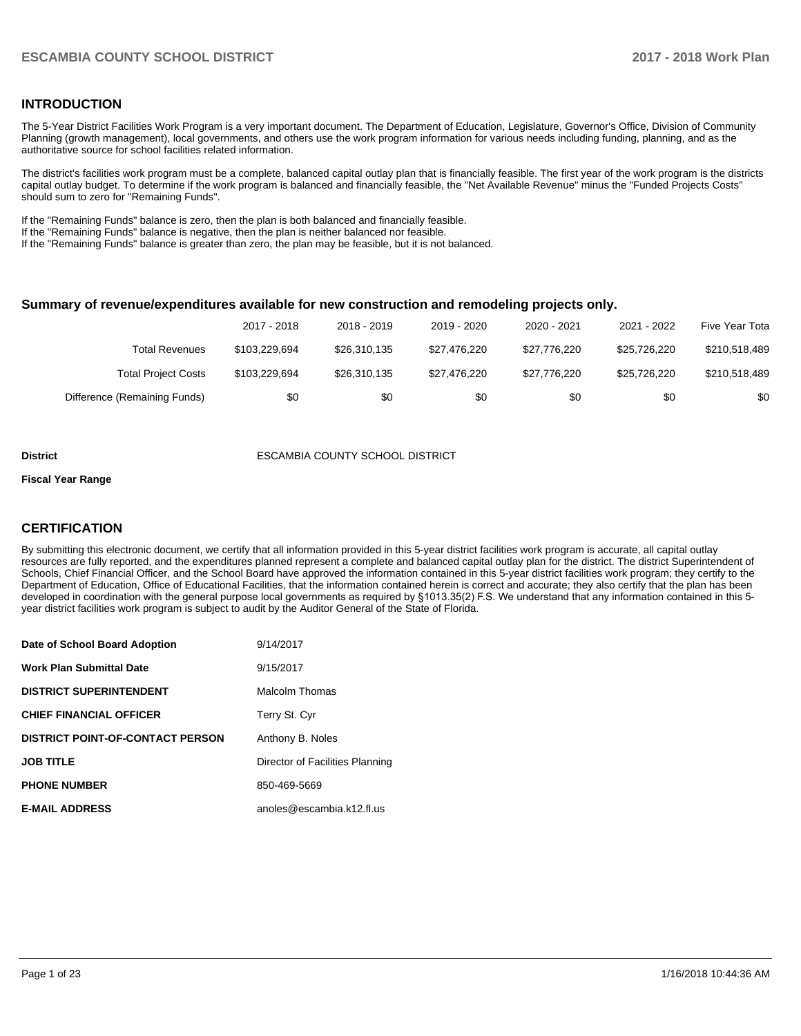## **INTRODUCTION**

The 5-Year District Facilities Work Program is a very important document. The Department of Education, Legislature, Governor's Office, Division of Community Planning (growth management), local governments, and others use the work program information for various needs including funding, planning, and as the authoritative source for school facilities related information.

The district's facilities work program must be a complete, balanced capital outlay plan that is financially feasible. The first year of the work program is the districts capital outlay budget. To determine if the work program is balanced and financially feasible, the "Net Available Revenue" minus the "Funded Projects Costs" should sum to zero for "Remaining Funds".

If the "Remaining Funds" balance is zero, then the plan is both balanced and financially feasible.

If the "Remaining Funds" balance is negative, then the plan is neither balanced nor feasible.

If the "Remaining Funds" balance is greater than zero, the plan may be feasible, but it is not balanced.

#### **Summary of revenue/expenditures available for new construction and remodeling projects only.**

|                              | 2017 - 2018   | 2018 - 2019  | 2019 - 2020  | 2020 - 2021  | 2021 - 2022  | Five Year Tota |
|------------------------------|---------------|--------------|--------------|--------------|--------------|----------------|
| <b>Total Revenues</b>        | \$103.229.694 | \$26,310,135 | \$27.476.220 | \$27.776.220 | \$25,726,220 | \$210,518,489  |
| <b>Total Project Costs</b>   | \$103.229.694 | \$26,310,135 | \$27.476.220 | \$27.776.220 | \$25,726,220 | \$210,518,489  |
| Difference (Remaining Funds) | \$0           | \$0          | \$0          | \$0          | \$0          | \$0            |

#### **District** ESCAMBIA COUNTY SCHOOL DISTRICT

#### **Fiscal Year Range**

## **CERTIFICATION**

By submitting this electronic document, we certify that all information provided in this 5-year district facilities work program is accurate, all capital outlay resources are fully reported, and the expenditures planned represent a complete and balanced capital outlay plan for the district. The district Superintendent of Schools, Chief Financial Officer, and the School Board have approved the information contained in this 5-year district facilities work program; they certify to the Department of Education, Office of Educational Facilities, that the information contained herein is correct and accurate; they also certify that the plan has been developed in coordination with the general purpose local governments as required by §1013.35(2) F.S. We understand that any information contained in this 5year district facilities work program is subject to audit by the Auditor General of the State of Florida.

| Date of School Board Adoption           | 9/14/2017                       |
|-----------------------------------------|---------------------------------|
| Work Plan Submittal Date                | 9/15/2017                       |
| <b>DISTRICT SUPERINTENDENT</b>          | Malcolm Thomas                  |
| <b>CHIEF FINANCIAL OFFICER</b>          | Terry St. Cyr                   |
| <b>DISTRICT POINT-OF-CONTACT PERSON</b> | Anthony B. Noles                |
| JOB TITLE                               | Director of Facilities Planning |
| <b>PHONE NUMBER</b>                     | 850-469-5669                    |
| <b>E-MAIL ADDRESS</b>                   | anoles@escambia.k12.fl.us       |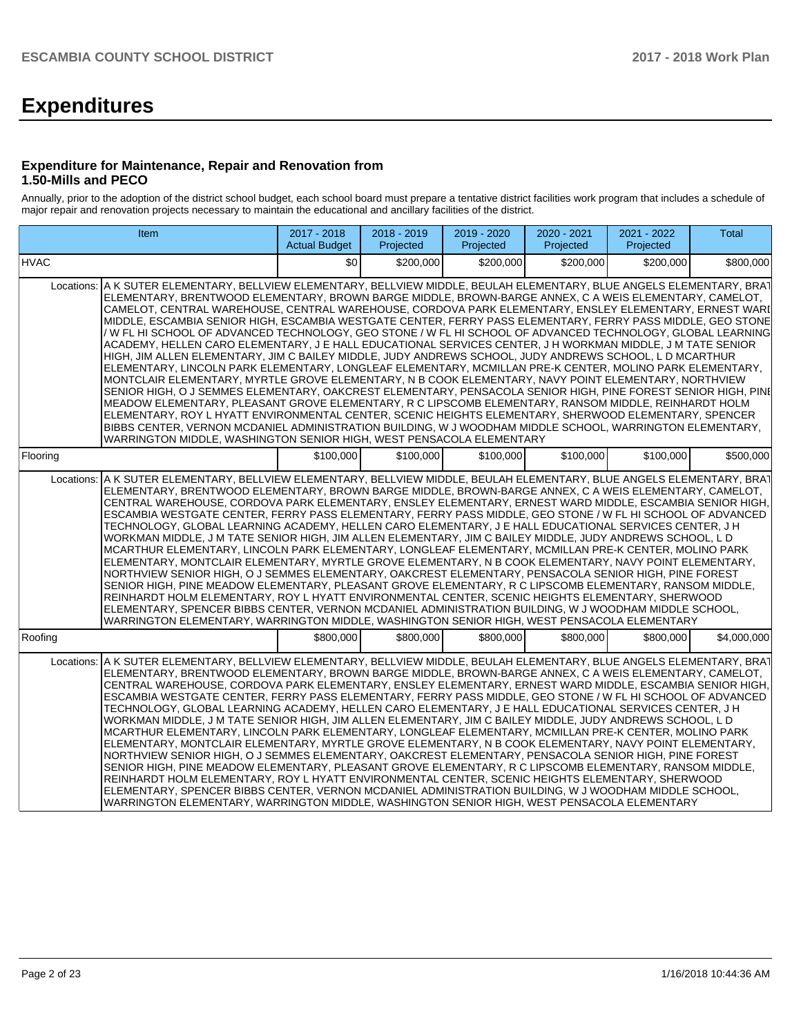# **Expenditures**

## **Expenditure for Maintenance, Repair and Renovation from 1.50-Mills and PECO**

Annually, prior to the adoption of the district school budget, each school board must prepare a tentative district facilities work program that includes a schedule of major repair and renovation projects necessary to maintain the educational and ancillary facilities of the district.

| Item                                                                                                                                                                                                                                                                                                                                                                                                                                                                                                                                                                                                                                                                                                                                                                                                                                                                                                                                                                                                                                                                                                                                                                                                                                                                                                                                                                                                                                                                                                                                        | 2017 - 2018<br><b>Actual Budget</b> | 2018 - 2019<br>Projected | 2019 - 2020<br>Projected | 2020 - 2021<br>Projected | 2021 - 2022<br>Projected | <b>Total</b> |  |
|---------------------------------------------------------------------------------------------------------------------------------------------------------------------------------------------------------------------------------------------------------------------------------------------------------------------------------------------------------------------------------------------------------------------------------------------------------------------------------------------------------------------------------------------------------------------------------------------------------------------------------------------------------------------------------------------------------------------------------------------------------------------------------------------------------------------------------------------------------------------------------------------------------------------------------------------------------------------------------------------------------------------------------------------------------------------------------------------------------------------------------------------------------------------------------------------------------------------------------------------------------------------------------------------------------------------------------------------------------------------------------------------------------------------------------------------------------------------------------------------------------------------------------------------|-------------------------------------|--------------------------|--------------------------|--------------------------|--------------------------|--------------|--|
| <b>HVAC</b>                                                                                                                                                                                                                                                                                                                                                                                                                                                                                                                                                                                                                                                                                                                                                                                                                                                                                                                                                                                                                                                                                                                                                                                                                                                                                                                                                                                                                                                                                                                                 | \$0                                 | \$200,000                | \$200.000                | \$200,000                | \$200.000                | \$800,000    |  |
| Locations: A K SUTER ELEMENTARY, BELLVIEW ELEMENTARY, BELLVIEW MIDDLE, BEULAH ELEMENTARY, BLUE ANGELS ELEMENTARY, BRAT<br>ELEMENTARY, BRENTWOOD ELEMENTARY, BROWN BARGE MIDDLE, BROWN-BARGE ANNEX, C A WEIS ELEMENTARY, CAMELOT,<br>CAMELOT, CENTRAL WAREHOUSE, CENTRAL WAREHOUSE, CORDOVA PARK ELEMENTARY, ENSLEY ELEMENTARY, ERNEST WARI<br>MIDDLE, ESCAMBIA SENIOR HIGH, ESCAMBIA WESTGATE CENTER, FERRY PASS ELEMENTARY, FERRY PASS MIDDLE, GEO STONE<br>/ W FL HI SCHOOL OF ADVANCED TECHNOLOGY, GEO STONE / W FL HI SCHOOL OF ADVANCED TECHNOLOGY, GLOBAL LEARNING<br>ACADEMY, HELLEN CARO ELEMENTARY, J E HALL EDUCATIONAL SERVICES CENTER, J H WORKMAN MIDDLE, J M TATE SENIOR<br>HIGH, JIM ALLEN ELEMENTARY, JIM C BAILEY MIDDLE, JUDY ANDREWS SCHOOL, JUDY ANDREWS SCHOOL, L D MCARTHUR<br>ELEMENTARY, LINCOLN PARK ELEMENTARY, LONGLEAF ELEMENTARY, MCMILLAN PRE-K CENTER, MOLINO PARK ELEMENTARY,<br>MONTCLAIR ELEMENTARY. MYRTLE GROVE ELEMENTARY. N B COOK ELEMENTARY. NAVY POINT ELEMENTARY. NORTHVIEW<br>SENIOR HIGH, O J SEMMES ELEMENTARY, OAKCREST ELEMENTARY, PENSACOLA SENIOR HIGH, PINE FOREST SENIOR HIGH, PINE<br>MEADOW ELEMENTARY, PLEASANT GROVE ELEMENTARY, R C LIPSCOMB ELEMENTARY, RANSOM MIDDLE, REINHARDT HOLM<br>ELEMENTARY, ROY L HYATT ENVIRONMENTAL CENTER, SCENIC HEIGHTS ELEMENTARY, SHERWOOD ELEMENTARY, SPENCER<br>BIBBS CENTER, VERNON MCDANIEL ADMINISTRATION BUILDING, W J WOODHAM MIDDLE SCHOOL, WARRINGTON ELEMENTARY,<br>WARRINGTON MIDDLE, WASHINGTON SENIOR HIGH, WEST PENSACOLA ELEMENTARY |                                     |                          |                          |                          |                          |              |  |
| Flooring                                                                                                                                                                                                                                                                                                                                                                                                                                                                                                                                                                                                                                                                                                                                                                                                                                                                                                                                                                                                                                                                                                                                                                                                                                                                                                                                                                                                                                                                                                                                    | \$100,000                           | \$100,000                | \$100.000                | \$100,000                | \$100,000                | \$500,000    |  |
| Locations: A K SUTER ELEMENTARY, BELLVIEW ELEMENTARY, BELLVIEW MIDDLE, BEULAH ELEMENTARY, BLUE ANGELS ELEMENTARY, BRAT<br>ELEMENTARY, BRENTWOOD ELEMENTARY, BROWN BARGE MIDDLE, BROWN-BARGE ANNEX, C A WEIS ELEMENTARY, CAMELOT,<br>CENTRAL WAREHOUSE, CORDOVA PARK ELEMENTARY, ENSLEY ELEMENTARY, ERNEST WARD MIDDLE, ESCAMBIA SENIOR HIGH,<br>ESCAMBIA WESTGATE CENTER, FERRY PASS ELEMENTARY, FERRY PASS MIDDLE, GEO STONE / W FL HI SCHOOL OF ADVANCED<br>TECHNOLOGY, GLOBAL LEARNING ACADEMY, HELLEN CARO ELEMENTARY, J E HALL EDUCATIONAL SERVICES CENTER, J H<br>WORKMAN MIDDLE, J M TATE SENIOR HIGH, JIM ALLEN ELEMENTARY, JIM C BAILEY MIDDLE, JUDY ANDREWS SCHOOL, L D<br>MCARTHUR ELEMENTARY, LINCOLN PARK ELEMENTARY, LONGLEAF ELEMENTARY, MCMILLAN PRE-K CENTER, MOLINO PARK<br>ELEMENTARY, MONTCLAIR ELEMENTARY, MYRTLE GROVE ELEMENTARY, N B COOK ELEMENTARY, NAVY POINT ELEMENTARY,<br>NORTHVIEW SENIOR HIGH, O J SEMMES ELEMENTARY, OAKCREST ELEMENTARY, PENSACOLA SENIOR HIGH, PINE FOREST<br>SENIOR HIGH, PINE MEADOW ELEMENTARY, PLEASANT GROVE ELEMENTARY, R C LIPSCOMB ELEMENTARY, RANSOM MIDDLE,<br>REINHARDT HOLM ELEMENTARY, ROY L HYATT ENVIRONMENTAL CENTER, SCENIC HEIGHTS ELEMENTARY, SHERWOOD<br>ELEMENTARY, SPENCER BIBBS CENTER, VERNON MCDANIEL ADMINISTRATION BUILDING, W J WOODHAM MIDDLE SCHOOL,<br>WARRINGTON ELEMENTARY, WARRINGTON MIDDLE, WASHINGTON SENIOR HIGH, WEST PENSACOLA ELEMENTARY                                                                                                        |                                     |                          |                          |                          |                          |              |  |
| Roofing                                                                                                                                                                                                                                                                                                                                                                                                                                                                                                                                                                                                                                                                                                                                                                                                                                                                                                                                                                                                                                                                                                                                                                                                                                                                                                                                                                                                                                                                                                                                     | \$800,000                           | \$800,000                | \$800,000                | \$800,000                | \$800,000                | \$4,000,000  |  |
| Locations: A K SUTER ELEMENTARY, BELLVIEW ELEMENTARY, BELLVIEW MIDDLE, BEULAH ELEMENTARY, BLUE ANGELS ELEMENTARY, BRAT<br>ELEMENTARY, BRENTWOOD ELEMENTARY, BROWN BARGE MIDDLE, BROWN-BARGE ANNEX, C A WEIS ELEMENTARY, CAMELOT,<br>CENTRAL WAREHOUSE, CORDOVA PARK ELEMENTARY, ENSLEY ELEMENTARY, ERNEST WARD MIDDLE, ESCAMBIA SENIOR HIGH,<br>ESCAMBIA WESTGATE CENTER, FERRY PASS ELEMENTARY, FERRY PASS MIDDLE, GEO STONE / W FL HI SCHOOL OF ADVANCED<br>TECHNOLOGY, GLOBAL LEARNING ACADEMY, HELLEN CARO ELEMENTARY, J E HALL EDUCATIONAL SERVICES CENTER, J H<br>WORKMAN MIDDLE, J M TATE SENIOR HIGH, JIM ALLEN ELEMENTARY, JIM C BAILEY MIDDLE, JUDY ANDREWS SCHOOL, L D<br>MCARTHUR ELEMENTARY, LINCOLN PARK ELEMENTARY, LONGLEAF ELEMENTARY, MCMILLAN PRE-K CENTER, MOLINO PARK<br>ELEMENTARY, MONTCLAIR ELEMENTARY, MYRTLE GROVE ELEMENTARY, N B COOK ELEMENTARY, NAVY POINT ELEMENTARY,<br>NORTHVIEW SENIOR HIGH, O J SEMMES ELEMENTARY, OAKCREST ELEMENTARY, PENSACOLA SENIOR HIGH, PINE FOREST<br>SENIOR HIGH, PINE MEADOW ELEMENTARY, PLEASANT GROVE ELEMENTARY, R C LIPSCOMB ELEMENTARY, RANSOM MIDDLE,<br>REINHARDT HOLM ELEMENTARY, ROY L HYATT ENVIRONMENTAL CENTER, SCENIC HEIGHTS ELEMENTARY, SHERWOOD<br>ELEMENTARY, SPENCER BIBBS CENTER, VERNON MCDANIEL ADMINISTRATION BUILDING, W J WOODHAM MIDDLE SCHOOL,<br>WARRINGTON ELEMENTARY, WARRINGTON MIDDLE, WASHINGTON SENIOR HIGH, WEST PENSACOLA ELEMENTARY                                                                                                        |                                     |                          |                          |                          |                          |              |  |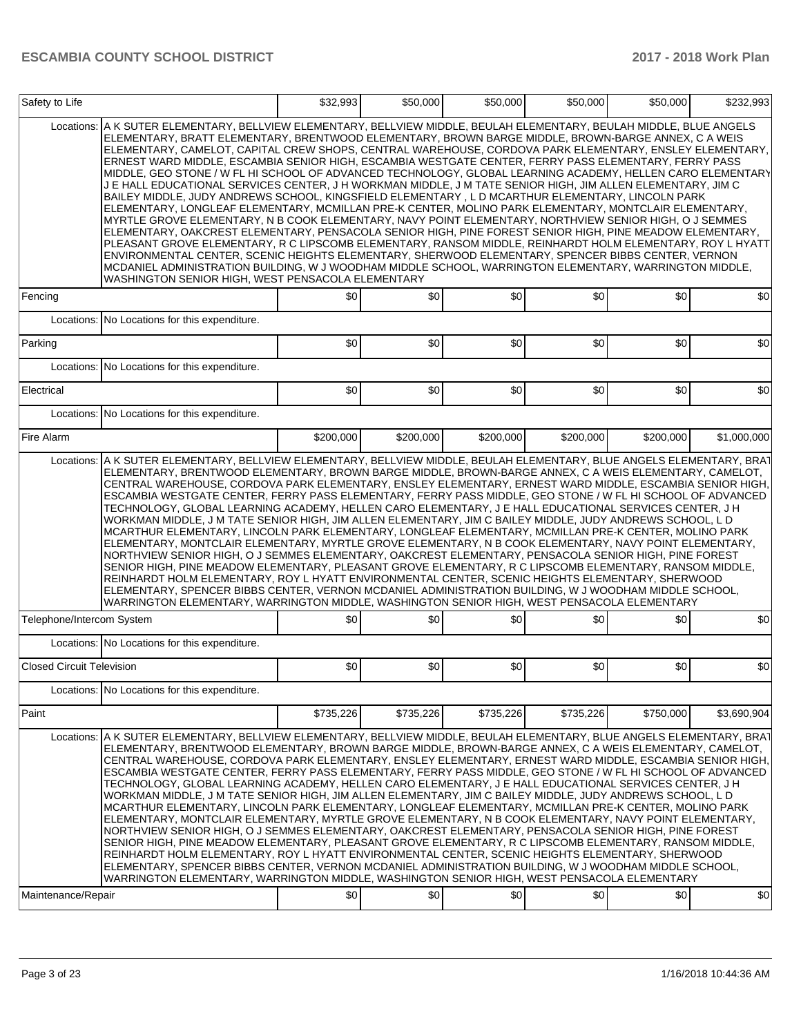| Safety to Life                   |                                                                                                                                                                                                                                                                                                                                                                                                                                                                                                                                                                                                                                                                                                                                                                                                                                                                                                                                                                                                                                                                                                                                                                                                                                                                                                                                                                                                                                                                                         | \$32,993  | \$50,000  | \$50,000  | \$50,000  | \$50,000  | \$232,993   |
|----------------------------------|-----------------------------------------------------------------------------------------------------------------------------------------------------------------------------------------------------------------------------------------------------------------------------------------------------------------------------------------------------------------------------------------------------------------------------------------------------------------------------------------------------------------------------------------------------------------------------------------------------------------------------------------------------------------------------------------------------------------------------------------------------------------------------------------------------------------------------------------------------------------------------------------------------------------------------------------------------------------------------------------------------------------------------------------------------------------------------------------------------------------------------------------------------------------------------------------------------------------------------------------------------------------------------------------------------------------------------------------------------------------------------------------------------------------------------------------------------------------------------------------|-----------|-----------|-----------|-----------|-----------|-------------|
| Locations:                       | A K SUTER ELEMENTARY, BELLVIEW ELEMENTARY, BELLVIEW MIDDLE, BEULAH ELEMENTARY, BEULAH MIDDLE, BLUE ANGELS<br>ELEMENTARY, BRATT ELEMENTARY, BRENTWOOD ELEMENTARY, BROWN BARGE MIDDLE, BROWN-BARGE ANNEX, C A WEIS<br>ELEMENTARY, CAMELOT, CAPITAL CREW SHOPS, CENTRAL WAREHOUSE, CORDOVA PARK ELEMENTARY, ENSLEY ELEMENTARY,<br>ERNEST WARD MIDDLE, ESCAMBIA SENIOR HIGH, ESCAMBIA WESTGATE CENTER, FERRY PASS ELEMENTARY, FERRY PASS<br>MIDDLE, GEO STONE / W FL HI SCHOOL OF ADVANCED TECHNOLOGY, GLOBAL LEARNING ACADEMY, HELLEN CARO ELEMENTARY<br>J E HALL EDUCATIONAL SERVICES CENTER, J H WORKMAN MIDDLE, J M TATE SENIOR HIGH, JIM ALLEN ELEMENTARY, JIM C<br>BAILEY MIDDLE, JUDY ANDREWS SCHOOL, KINGSFIELD ELEMENTARY , L D MCARTHUR ELEMENTARY, LINCOLN PARK<br>ELEMENTARY, LONGLEAF ELEMENTARY, MCMILLAN PRE-K CENTER, MOLINO PARK ELEMENTARY, MONTCLAIR ELEMENTARY,<br>MYRTLE GROVE ELEMENTARY, N B COOK ELEMENTARY, NAVY POINT ELEMENTARY, NORTHVIEW SENIOR HIGH, O J SEMMES<br>ELEMENTARY, OAKCREST ELEMENTARY, PENSACOLA SENIOR HIGH, PINE FOREST SENIOR HIGH, PINE MEADOW ELEMENTARY,<br>PLEASANT GROVE ELEMENTARY, R C LIPSCOMB ELEMENTARY, RANSOM MIDDLE, REINHARDT HOLM ELEMENTARY, ROY L HYATT<br>ENVIRONMENTAL CENTER, SCENIC HEIGHTS ELEMENTARY, SHERWOOD ELEMENTARY, SPENCER BIBBS CENTER, VERNON<br>MCDANIEL ADMINISTRATION BUILDING, W J WOODHAM MIDDLE SCHOOL, WARRINGTON ELEMENTARY, WARRINGTON MIDDLE,<br>WASHINGTON SENIOR HIGH, WEST PENSACOLA ELEMENTARY |           |           |           |           |           |             |
| Fencing                          |                                                                                                                                                                                                                                                                                                                                                                                                                                                                                                                                                                                                                                                                                                                                                                                                                                                                                                                                                                                                                                                                                                                                                                                                                                                                                                                                                                                                                                                                                         | \$0       | \$0       | \$0       | \$0       | \$0       | \$0         |
| Locations:                       | No Locations for this expenditure.                                                                                                                                                                                                                                                                                                                                                                                                                                                                                                                                                                                                                                                                                                                                                                                                                                                                                                                                                                                                                                                                                                                                                                                                                                                                                                                                                                                                                                                      |           |           |           |           |           |             |
| Parking                          |                                                                                                                                                                                                                                                                                                                                                                                                                                                                                                                                                                                                                                                                                                                                                                                                                                                                                                                                                                                                                                                                                                                                                                                                                                                                                                                                                                                                                                                                                         | \$0       | \$0       | \$0       | \$0       | \$0       | \$0         |
| Locations:                       | No Locations for this expenditure.                                                                                                                                                                                                                                                                                                                                                                                                                                                                                                                                                                                                                                                                                                                                                                                                                                                                                                                                                                                                                                                                                                                                                                                                                                                                                                                                                                                                                                                      |           |           |           |           |           |             |
| Electrical                       |                                                                                                                                                                                                                                                                                                                                                                                                                                                                                                                                                                                                                                                                                                                                                                                                                                                                                                                                                                                                                                                                                                                                                                                                                                                                                                                                                                                                                                                                                         | \$0       | \$0       | \$0       | \$0       | \$0       | \$0         |
| Locations:                       | No Locations for this expenditure.                                                                                                                                                                                                                                                                                                                                                                                                                                                                                                                                                                                                                                                                                                                                                                                                                                                                                                                                                                                                                                                                                                                                                                                                                                                                                                                                                                                                                                                      |           |           |           |           |           |             |
| Fire Alarm                       |                                                                                                                                                                                                                                                                                                                                                                                                                                                                                                                                                                                                                                                                                                                                                                                                                                                                                                                                                                                                                                                                                                                                                                                                                                                                                                                                                                                                                                                                                         | \$200,000 | \$200,000 | \$200,000 | \$200,000 | \$200,000 | \$1,000,000 |
|                                  | ELEMENTARY, BRENTWOOD ELEMENTARY, BROWN BARGE MIDDLE, BROWN-BARGE ANNEX, C A WEIS ELEMENTARY, CAMELOT,<br>CENTRAL WAREHOUSE, CORDOVA PARK ELEMENTARY, ENSLEY ELEMENTARY, ERNEST WARD MIDDLE, ESCAMBIA SENIOR HIGH,<br>ESCAMBIA WESTGATE CENTER, FERRY PASS ELEMENTARY, FERRY PASS MIDDLE, GEO STONE / W FL HI SCHOOL OF ADVANCED<br>TECHNOLOGY, GLOBAL LEARNING ACADEMY, HELLEN CARO ELEMENTARY, J E HALL EDUCATIONAL SERVICES CENTER, J H<br>WORKMAN MIDDLE, J M TATE SENIOR HIGH, JIM ALLEN ELEMENTARY, JIM C BAILEY MIDDLE, JUDY ANDREWS SCHOOL, L D<br>MCARTHUR ELEMENTARY, LINCOLN PARK ELEMENTARY, LONGLEAF ELEMENTARY, MCMILLAN PRE-K CENTER, MOLINO PARK<br>ELEMENTARY, MONTCLAIR ELEMENTARY, MYRTLE GROVE ELEMENTARY, N B COOK ELEMENTARY, NAVY POINT ELEMENTARY,<br>NORTHVIEW SENIOR HIGH, O J SEMMES ELEMENTARY, OAKCREST ELEMENTARY, PENSACOLA SENIOR HIGH, PINE FOREST<br>SENIOR HIGH, PINE MEADOW ELEMENTARY, PLEASANT GROVE ELEMENTARY, R C LIPSCOMB ELEMENTARY, RANSOM MIDDLE,<br>REINHARDT HOLM ELEMENTARY, ROY L HYATT ENVIRONMENTAL CENTER, SCENIC HEIGHTS ELEMENTARY, SHERWOOD<br>ELEMENTARY, SPENCER BIBBS CENTER, VERNON MCDANIEL ADMINISTRATION BUILDING, W J WOODHAM MIDDLE SCHOOL,<br>WARRINGTON ELEMENTARY, WARRINGTON MIDDLE, WASHINGTON SENIOR HIGH, WEST PENSACOLA ELEMENTARY                                                                                                                                                                              |           |           |           |           |           |             |
| Telephone/Intercom System        |                                                                                                                                                                                                                                                                                                                                                                                                                                                                                                                                                                                                                                                                                                                                                                                                                                                                                                                                                                                                                                                                                                                                                                                                                                                                                                                                                                                                                                                                                         | \$0       | \$0       | \$0       | \$0       | \$0       | \$0         |
|                                  | Locations: No Locations for this expenditure.                                                                                                                                                                                                                                                                                                                                                                                                                                                                                                                                                                                                                                                                                                                                                                                                                                                                                                                                                                                                                                                                                                                                                                                                                                                                                                                                                                                                                                           |           |           |           |           |           |             |
| <b>Closed Circuit Television</b> |                                                                                                                                                                                                                                                                                                                                                                                                                                                                                                                                                                                                                                                                                                                                                                                                                                                                                                                                                                                                                                                                                                                                                                                                                                                                                                                                                                                                                                                                                         | \$0       | \$0       | \$0       | \$0       | \$0       | \$0         |
|                                  | Locations: No Locations for this expenditure.                                                                                                                                                                                                                                                                                                                                                                                                                                                                                                                                                                                                                                                                                                                                                                                                                                                                                                                                                                                                                                                                                                                                                                                                                                                                                                                                                                                                                                           |           |           |           |           |           |             |
| Paint                            |                                                                                                                                                                                                                                                                                                                                                                                                                                                                                                                                                                                                                                                                                                                                                                                                                                                                                                                                                                                                                                                                                                                                                                                                                                                                                                                                                                                                                                                                                         | \$735,226 | \$735,226 | \$735,226 | \$735,226 | \$750,000 | \$3,690,904 |
| Locations:                       | A K SUTER ELEMENTARY, BELLVIEW ELEMENTARY, BELLVIEW MIDDLE, BEULAH ELEMENTARY, BLUE ANGELS ELEMENTARY, BRAT<br>ELEMENTARY, BRENTWOOD ELEMENTARY, BROWN BARGE MIDDLE, BROWN-BARGE ANNEX, C A WEIS ELEMENTARY, CAMELOT,<br>CENTRAL WAREHOUSE, CORDOVA PARK ELEMENTARY, ENSLEY ELEMENTARY, ERNEST WARD MIDDLE, ESCAMBIA SENIOR HIGH,<br>ESCAMBIA WESTGATE CENTER, FERRY PASS ELEMENTARY, FERRY PASS MIDDLE, GEO STONE / W FL HI SCHOOL OF ADVANCED<br>TECHNOLOGY, GLOBAL LEARNING ACADEMY, HELLEN CARO ELEMENTARY, J E HALL EDUCATIONAL SERVICES CENTER, J H<br>WORKMAN MIDDLE, J M TATE SENIOR HIGH, JIM ALLEN ELEMENTARY, JIM C BAILEY MIDDLE, JUDY ANDREWS SCHOOL, L D<br>MCARTHUR ELEMENTARY, LINCOLN PARK ELEMENTARY, LONGLEAF ELEMENTARY, MCMILLAN PRE-K CENTER, MOLINO PARK<br>ELEMENTARY, MONTCLAIR ELEMENTARY, MYRTLE GROVE ELEMENTARY, N B COOK ELEMENTARY, NAVY POINT ELEMENTARY,<br>NORTHVIEW SENIOR HIGH, O J SEMMES ELEMENTARY, OAKCREST ELEMENTARY, PENSACOLA SENIOR HIGH, PINE FOREST<br>SENIOR HIGH, PINE MEADOW ELEMENTARY, PLEASANT GROVE ELEMENTARY, R C LIPSCOMB ELEMENTARY, RANSOM MIDDLE,<br>REINHARDT HOLM ELEMENTARY, ROY L HYATT ENVIRONMENTAL CENTER, SCENIC HEIGHTS ELEMENTARY, SHERWOOD<br>ELEMENTARY, SPENCER BIBBS CENTER, VERNON MCDANIEL ADMINISTRATION BUILDING, W J WOODHAM MIDDLE SCHOOL,<br>WARRINGTON ELEMENTARY, WARRINGTON MIDDLE, WASHINGTON SENIOR HIGH, WEST PENSACOLA ELEMENTARY                                                               |           |           |           |           |           |             |
| Maintenance/Repair               |                                                                                                                                                                                                                                                                                                                                                                                                                                                                                                                                                                                                                                                                                                                                                                                                                                                                                                                                                                                                                                                                                                                                                                                                                                                                                                                                                                                                                                                                                         | \$0       | \$0       | \$0       | \$0       | \$0       | \$0         |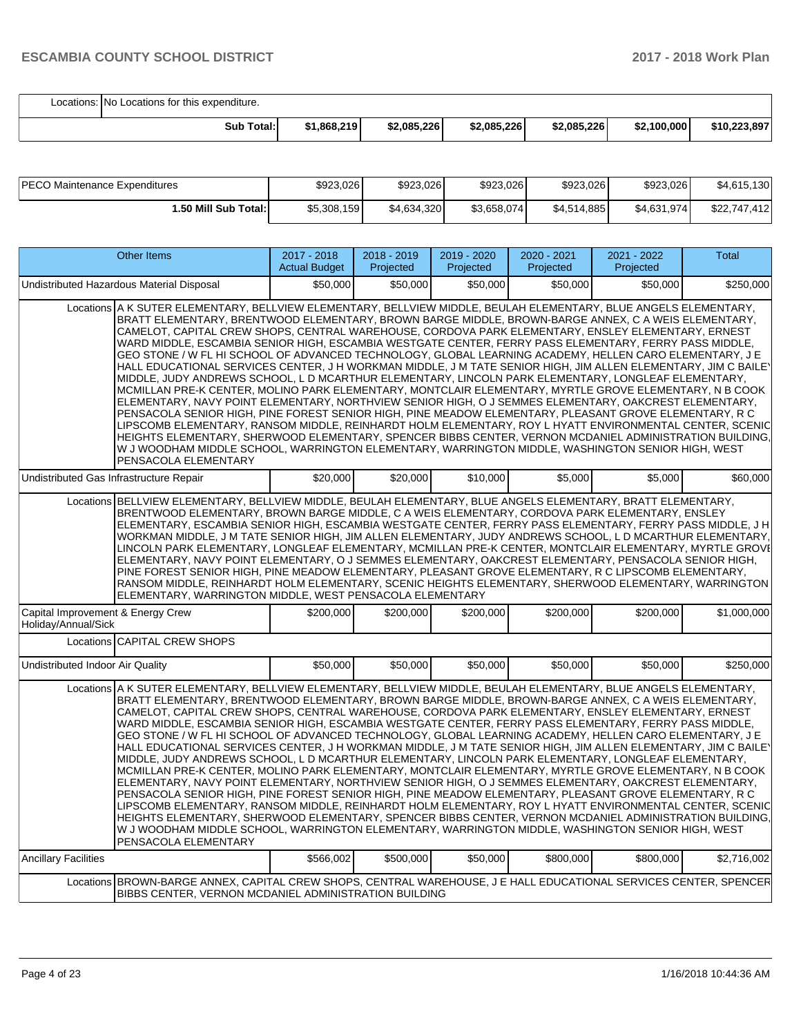Locations: No Locations for this expenditure.

| Total:<br>Sub | \$1,868,219 | \$2,085,226 | \$2,085,226 | \$2,085,226 | \$2,100,000 | \$10,223,897 |
|---------------|-------------|-------------|-------------|-------------|-------------|--------------|

| <b>PECO Maintenance Expenditures</b> | \$923,026   | \$923,026   | \$923,026    | \$923,026   | \$923,026   | \$4,615,130  |
|--------------------------------------|-------------|-------------|--------------|-------------|-------------|--------------|
| 1.50 Mill Sub Total:                 | \$5,308,159 | \$4,634,320 | \$3,658,074] | \$4,514,885 | \$4,631,974 | \$22,747,412 |

| <b>Other Items</b>                                                                                                                                                                                                                                                                                                                                                                                                                                                                                                                                                                                                                                                                                                                                                                                                                                                                                                                                                                                                                                                                                                                                                                                                                                                                                                                                                                                                                                         | 2017 - 2018<br><b>Actual Budget</b> | 2018 - 2019<br>Projected | 2019 - 2020<br>Projected | 2020 - 2021<br>Projected | 2021 - 2022<br>Projected | <b>Total</b> |  |  |
|------------------------------------------------------------------------------------------------------------------------------------------------------------------------------------------------------------------------------------------------------------------------------------------------------------------------------------------------------------------------------------------------------------------------------------------------------------------------------------------------------------------------------------------------------------------------------------------------------------------------------------------------------------------------------------------------------------------------------------------------------------------------------------------------------------------------------------------------------------------------------------------------------------------------------------------------------------------------------------------------------------------------------------------------------------------------------------------------------------------------------------------------------------------------------------------------------------------------------------------------------------------------------------------------------------------------------------------------------------------------------------------------------------------------------------------------------------|-------------------------------------|--------------------------|--------------------------|--------------------------|--------------------------|--------------|--|--|
| Undistributed Hazardous Material Disposal                                                                                                                                                                                                                                                                                                                                                                                                                                                                                                                                                                                                                                                                                                                                                                                                                                                                                                                                                                                                                                                                                                                                                                                                                                                                                                                                                                                                                  | \$50,000                            | \$50,000                 | \$50,000                 | \$50,000                 | \$50,000                 | \$250,000    |  |  |
| Locations A K SUTER ELEMENTARY, BELLVIEW ELEMENTARY, BELLVIEW MIDDLE, BEULAH ELEMENTARY, BLUE ANGELS ELEMENTARY,<br>BRATT ELEMENTARY, BRENTWOOD ELEMENTARY, BROWN BARGE MIDDLE, BROWN-BARGE ANNEX, C A WEIS ELEMENTARY,<br>CAMELOT, CAPITAL CREW SHOPS, CENTRAL WAREHOUSE, CORDOVA PARK ELEMENTARY, ENSLEY ELEMENTARY, ERNEST<br>WARD MIDDLE, ESCAMBIA SENIOR HIGH, ESCAMBIA WESTGATE CENTER, FERRY PASS ELEMENTARY, FERRY PASS MIDDLE,<br>GEO STONE / W FL HI SCHOOL OF ADVANCED TECHNOLOGY, GLOBAL LEARNING ACADEMY, HELLEN CARO ELEMENTARY, J E<br>HALL EDUCATIONAL SERVICES CENTER, J H WORKMAN MIDDLE, J M TATE SENIOR HIGH, JIM ALLEN ELEMENTARY, JIM C BAILEY<br>MIDDLE, JUDY ANDREWS SCHOOL, L D MCARTHUR ELEMENTARY, LINCOLN PARK ELEMENTARY, LONGLEAF ELEMENTARY,<br>MCMILLAN PRE-K CENTER, MOLINO PARK ELEMENTARY, MONTCLAIR ELEMENTARY, MYRTLE GROVE ELEMENTARY, N B COOK<br>ELEMENTARY, NAVY POINT ELEMENTARY, NORTHVIEW SENIOR HIGH, O J SEMMES ELEMENTARY, OAKCREST ELEMENTARY,<br>PENSACOLA SENIOR HIGH, PINE FOREST SENIOR HIGH, PINE MEADOW ELEMENTARY, PLEASANT GROVE ELEMENTARY, RC<br>LIPSCOMB ELEMENTARY, RANSOM MIDDLE, REINHARDT HOLM ELEMENTARY, ROY L HYATT ENVIRONMENTAL CENTER, SCENIC<br>HEIGHTS ELEMENTARY, SHERWOOD ELEMENTARY, SPENCER BIBBS CENTER, VERNON MCDANIEL ADMINISTRATION BUILDING,<br>W J WOODHAM MIDDLE SCHOOL, WARRINGTON ELEMENTARY, WARRINGTON MIDDLE, WASHINGTON SENIOR HIGH, WEST<br>PENSACOLA ELEMENTARY |                                     |                          |                          |                          |                          |              |  |  |
| Undistributed Gas Infrastructure Repair                                                                                                                                                                                                                                                                                                                                                                                                                                                                                                                                                                                                                                                                                                                                                                                                                                                                                                                                                                                                                                                                                                                                                                                                                                                                                                                                                                                                                    | \$20,000                            | \$20,000                 | \$10,000                 | \$5,000                  | \$5,000                  | \$60,000     |  |  |
| Locations BELLVIEW ELEMENTARY, BELLVIEW MIDDLE, BEULAH ELEMENTARY, BLUE ANGELS ELEMENTARY, BRATT ELEMENTARY,<br>BRENTWOOD ELEMENTARY, BROWN BARGE MIDDLE, C A WEIS ELEMENTARY, CORDOVA PARK ELEMENTARY, ENSLEY<br>ELEMENTARY, ESCAMBIA SENIOR HIGH, ESCAMBIA WESTGATE CENTER, FERRY PASS ELEMENTARY, FERRY PASS MIDDLE, J H<br>WORKMAN MIDDLE, J M TATE SENIOR HIGH, JIM ALLEN ELEMENTARY, JUDY ANDREWS SCHOOL, L D MCARTHUR ELEMENTARY,<br>LINCOLN PARK ELEMENTARY, LONGLEAF ELEMENTARY, MCMILLAN PRE-K CENTER, MONTCLAIR ELEMENTARY, MYRTLE GROVI<br>ELEMENTARY, NAVY POINT ELEMENTARY, O J SEMMES ELEMENTARY, OAKCREST ELEMENTARY, PENSACOLA SENIOR HIGH,<br>PINE FOREST SENIOR HIGH, PINE MEADOW ELEMENTARY, PLEASANT GROVE ELEMENTARY, R C LIPSCOMB ELEMENTARY,<br>RANSOM MIDDLE, REINHARDT HOLM ELEMENTARY, SCENIC HEIGHTS ELEMENTARY, SHERWOOD ELEMENTARY, WARRINGTON<br>ELEMENTARY, WARRINGTON MIDDLE, WEST PENSACOLA ELEMENTARY                                                                                                                                                                                                                                                                                                                                                                                                                                                                                                                   |                                     |                          |                          |                          |                          |              |  |  |
| Capital Improvement & Energy Crew<br>Holiday/Annual/Sick                                                                                                                                                                                                                                                                                                                                                                                                                                                                                                                                                                                                                                                                                                                                                                                                                                                                                                                                                                                                                                                                                                                                                                                                                                                                                                                                                                                                   | \$200.000                           | \$200.000                | \$200,000                | \$200,000                | \$200,000                | \$1,000,000  |  |  |
| Locations CAPITAL CREW SHOPS                                                                                                                                                                                                                                                                                                                                                                                                                                                                                                                                                                                                                                                                                                                                                                                                                                                                                                                                                                                                                                                                                                                                                                                                                                                                                                                                                                                                                               |                                     |                          |                          |                          |                          |              |  |  |
| Undistributed Indoor Air Quality                                                                                                                                                                                                                                                                                                                                                                                                                                                                                                                                                                                                                                                                                                                                                                                                                                                                                                                                                                                                                                                                                                                                                                                                                                                                                                                                                                                                                           | \$50,000                            | \$50,000                 | \$50,000                 | \$50,000                 | \$50,000                 | \$250,000    |  |  |
| Locations A K SUTER ELEMENTARY, BELLVIEW ELEMENTARY, BELLVIEW MIDDLE, BEULAH ELEMENTARY, BLUE ANGELS ELEMENTARY,<br>BRATT ELEMENTARY, BRENTWOOD ELEMENTARY, BROWN BARGE MIDDLE, BROWN-BARGE ANNEX, C A WEIS ELEMENTARY,<br>CAMELOT, CAPITAL CREW SHOPS, CENTRAL WAREHOUSE, CORDOVA PARK ELEMENTARY, ENSLEY ELEMENTARY, ERNEST<br>WARD MIDDLE, ESCAMBIA SENIOR HIGH, ESCAMBIA WESTGATE CENTER, FERRY PASS ELEMENTARY, FERRY PASS MIDDLE,<br>GEO STONE / W FL HI SCHOOL OF ADVANCED TECHNOLOGY, GLOBAL LEARNING ACADEMY, HELLEN CARO ELEMENTARY, J E<br>HALL EDUCATIONAL SERVICES CENTER, J H WORKMAN MIDDLE, J M TATE SENIOR HIGH, JIM ALLEN ELEMENTARY, JIM C BAILEY<br>MIDDLE, JUDY ANDREWS SCHOOL, L D MCARTHUR ELEMENTARY, LINCOLN PARK ELEMENTARY, LONGLEAF ELEMENTARY,<br>MCMILLAN PRE-K CENTER, MOLINO PARK ELEMENTARY, MONTCLAIR ELEMENTARY, MYRTLE GROVE ELEMENTARY, N B COOK<br>ELEMENTARY, NAVY POINT ELEMENTARY, NORTHVIEW SENIOR HIGH, O J SEMMES ELEMENTARY, OAKCREST ELEMENTARY,<br>PENSACOLA SENIOR HIGH, PINE FOREST SENIOR HIGH, PINE MEADOW ELEMENTARY, PLEASANT GROVE ELEMENTARY, RC<br>LIPSCOMB ELEMENTARY, RANSOM MIDDLE, REINHARDT HOLM ELEMENTARY, ROY L HYATT ENVIRONMENTAL CENTER, SCENIC<br>HEIGHTS ELEMENTARY, SHERWOOD ELEMENTARY, SPENCER BIBBS CENTER, VERNON MCDANIEL ADMINISTRATION BUILDING,<br>W J WOODHAM MIDDLE SCHOOL, WARRINGTON ELEMENTARY, WARRINGTON MIDDLE, WASHINGTON SENIOR HIGH, WEST<br>PENSACOLA ELEMENTARY |                                     |                          |                          |                          |                          |              |  |  |
| <b>Ancillary Facilities</b>                                                                                                                                                                                                                                                                                                                                                                                                                                                                                                                                                                                                                                                                                                                                                                                                                                                                                                                                                                                                                                                                                                                                                                                                                                                                                                                                                                                                                                | \$566.002                           | \$500,000                | \$50,000                 | \$800,000                | \$800.000                | \$2,716,002  |  |  |
| Locations BROWN-BARGE ANNEX, CAPITAL CREW SHOPS, CENTRAL WAREHOUSE, J E HALL EDUCATIONAL SERVICES CENTER, SPENCER<br>BIBBS CENTER, VERNON MCDANIEL ADMINISTRATION BUILDING                                                                                                                                                                                                                                                                                                                                                                                                                                                                                                                                                                                                                                                                                                                                                                                                                                                                                                                                                                                                                                                                                                                                                                                                                                                                                 |                                     |                          |                          |                          |                          |              |  |  |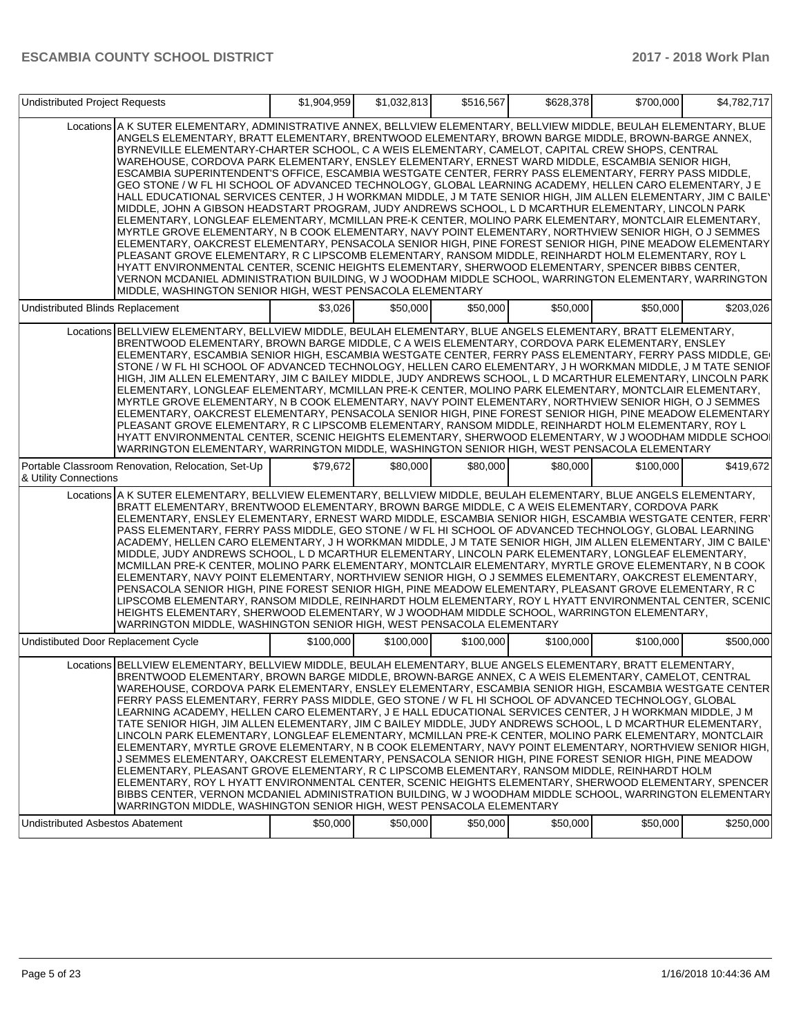| <b>Undistributed Project Requests</b>                                                                                                                                                                                                                                                                                                                                                                                                                                                                                                                                                                                                                                                                                                                                                                                                                                                                                                                                                                                                                                                                                                                                                                                                                                                                                                                                                                                                                                                                                                                                                        | \$1,904,959 | \$1,032,813 | \$516,567 | \$628,378 | \$700,000 | \$4,782,717 |
|----------------------------------------------------------------------------------------------------------------------------------------------------------------------------------------------------------------------------------------------------------------------------------------------------------------------------------------------------------------------------------------------------------------------------------------------------------------------------------------------------------------------------------------------------------------------------------------------------------------------------------------------------------------------------------------------------------------------------------------------------------------------------------------------------------------------------------------------------------------------------------------------------------------------------------------------------------------------------------------------------------------------------------------------------------------------------------------------------------------------------------------------------------------------------------------------------------------------------------------------------------------------------------------------------------------------------------------------------------------------------------------------------------------------------------------------------------------------------------------------------------------------------------------------------------------------------------------------|-------------|-------------|-----------|-----------|-----------|-------------|
| Locations A K SUTER ELEMENTARY, ADMINISTRATIVE ANNEX, BELLVIEW ELEMENTARY, BELLVIEW MIDDLE, BEULAH ELEMENTARY, BLUE<br>ANGELS ELEMENTARY, BRATT ELEMENTARY, BRENTWOOD ELEMENTARY, BROWN BARGE MIDDLE, BROWN-BARGE ANNEX,<br>BYRNEVILLE ELEMENTARY-CHARTER SCHOOL, C A WEIS ELEMENTARY, CAMELOT, CAPITAL CREW SHOPS, CENTRAL<br>WAREHOUSE, CORDOVA PARK ELEMENTARY, ENSLEY ELEMENTARY, ERNEST WARD MIDDLE, ESCAMBIA SENIOR HIGH,<br>ESCAMBIA SUPERINTENDENT'S OFFICE, ESCAMBIA WESTGATE CENTER, FERRY PASS ELEMENTARY, FERRY PASS MIDDLE,<br>GEO STONE / W FL HI SCHOOL OF ADVANCED TECHNOLOGY, GLOBAL LEARNING ACADEMY, HELLEN CARO ELEMENTARY, J E<br>HALL EDUCATIONAL SERVICES CENTER, J H WORKMAN MIDDLE, J M TATE SENIOR HIGH, JIM ALLEN ELEMENTARY, JIM C BAILEY<br>MIDDLE, JOHN A GIBSON HEADSTART PROGRAM, JUDY ANDREWS SCHOOL, L D MCARTHUR ELEMENTARY, LINCOLN PARK<br>ELEMENTARY, LONGLEAF ELEMENTARY, MCMILLAN PRE-K CENTER, MOLINO PARK ELEMENTARY, MONTCLAIR ELEMENTARY,<br>MYRTLE GROVE ELEMENTARY, N B COOK ELEMENTARY, NAVY POINT ELEMENTARY, NORTHVIEW SENIOR HIGH, O J SEMMES<br>ELEMENTARY, OAKCREST ELEMENTARY, PENSACOLA SENIOR HIGH, PINE FOREST SENIOR HIGH, PINE MEADOW ELEMENTARY<br>PLEASANT GROVE ELEMENTARY, R C LIPSCOMB ELEMENTARY, RANSOM MIDDLE, REINHARDT HOLM ELEMENTARY, ROY L<br>HYATT ENVIRONMENTAL CENTER, SCENIC HEIGHTS ELEMENTARY, SHERWOOD ELEMENTARY, SPENCER BIBBS CENTER,<br>VERNON MCDANIEL ADMINISTRATION BUILDING, W J WOODHAM MIDDLE SCHOOL, WARRINGTON ELEMENTARY, WARRINGTON<br>MIDDLE, WASHINGTON SENIOR HIGH, WEST PENSACOLA ELEMENTARY |             |             |           |           |           |             |
| Undistributed Blinds Replacement                                                                                                                                                                                                                                                                                                                                                                                                                                                                                                                                                                                                                                                                                                                                                                                                                                                                                                                                                                                                                                                                                                                                                                                                                                                                                                                                                                                                                                                                                                                                                             | \$3,026     | \$50,000    | \$50,000  | \$50,000  | \$50,000  | \$203,026   |
| Locations BELLVIEW ELEMENTARY, BELLVIEW MIDDLE, BEULAH ELEMENTARY, BLUE ANGELS ELEMENTARY, BRATT ELEMENTARY,<br>BRENTWOOD ELEMENTARY, BROWN BARGE MIDDLE, C A WEIS ELEMENTARY, CORDOVA PARK ELEMENTARY, ENSLEY<br>ELEMENTARY, ESCAMBIA SENIOR HIGH, ESCAMBIA WESTGATE CENTER, FERRY PASS ELEMENTARY, FERRY PASS MIDDLE, GE<br>STONE / W FL HI SCHOOL OF ADVANCED TECHNOLOGY, HELLEN CARO ELEMENTARY, J H WORKMAN MIDDLE, J M TATE SENIOF<br>HIGH, JIM ALLEN ELEMENTARY, JIM C BAILEY MIDDLE, JUDY ANDREWS SCHOOL, L D MCARTHUR ELEMENTARY, LINCOLN PARK<br>ELEMENTARY, LONGLEAF ELEMENTARY, MCMILLAN PRE-K CENTER, MOLINO PARK ELEMENTARY, MONTCLAIR ELEMENTARY,<br>MYRTLE GROVE ELEMENTARY, N B COOK ELEMENTARY, NAVY POINT ELEMENTARY, NORTHVIEW SENIOR HIGH, O J SEMMES<br>ELEMENTARY, OAKCREST ELEMENTARY, PENSACOLA SENIOR HIGH, PINE FOREST SENIOR HIGH, PINE MEADOW ELEMENTARY<br>PLEASANT GROVE ELEMENTARY, R C LIPSCOMB ELEMENTARY, RANSOM MIDDLE, REINHARDT HOLM ELEMENTARY, ROY L<br>HYATT ENVIRONMENTAL CENTER, SCENIC HEIGHTS ELEMENTARY, SHERWOOD ELEMENTARY, W J WOODHAM MIDDLE SCHOOI<br>WARRINGTON ELEMENTARY, WARRINGTON MIDDLE, WASHINGTON SENIOR HIGH, WEST PENSACOLA ELEMENTARY                                                                                                                                                                                                                                                                                                                                                                                         |             |             |           |           |           |             |
| Portable Classroom Renovation, Relocation, Set-Up<br>& Utility Connections                                                                                                                                                                                                                                                                                                                                                                                                                                                                                                                                                                                                                                                                                                                                                                                                                                                                                                                                                                                                                                                                                                                                                                                                                                                                                                                                                                                                                                                                                                                   | \$79,672    | \$80,000    | \$80,000  | \$80,000  | \$100,000 | \$419,672   |
| Locations A K SUTER ELEMENTARY, BELLVIEW ELEMENTARY, BELLVIEW MIDDLE, BEULAH ELEMENTARY, BLUE ANGELS ELEMENTARY,<br>BRATT ELEMENTARY, BRENTWOOD ELEMENTARY, BROWN BARGE MIDDLE, C A WEIS ELEMENTARY, CORDOVA PARK<br>ELEMENTARY, ENSLEY ELEMENTARY, ERNEST WARD MIDDLE, ESCAMBIA SENIOR HIGH, ESCAMBIA WESTGATE CENTER, FERR'<br>PASS ELEMENTARY, FERRY PASS MIDDLE, GEO STONE / W FL HI SCHOOL OF ADVANCED TECHNOLOGY, GLOBAL LEARNING<br>ACADEMY, HELLEN CARO ELEMENTARY, J H WORKMAN MIDDLE, J M TATE SENIOR HIGH, JIM ALLEN ELEMENTARY, JIM C BAILEY<br>MIDDLE, JUDY ANDREWS SCHOOL, L D MCARTHUR ELEMENTARY, LINCOLN PARK ELEMENTARY, LONGLEAF ELEMENTARY,<br>MCMILLAN PRE-K CENTER, MOLINO PARK ELEMENTARY, MONTCLAIR ELEMENTARY, MYRTLE GROVE ELEMENTARY, N B COOK<br>ELEMENTARY, NAVY POINT ELEMENTARY, NORTHVIEW SENIOR HIGH, O J SEMMES ELEMENTARY, OAKCREST ELEMENTARY,<br>PENSACOLA SENIOR HIGH, PINE FOREST SENIOR HIGH, PINE MEADOW ELEMENTARY, PLEASANT GROVE ELEMENTARY, RC<br>LIPSCOMB ELEMENTARY, RANSOM MIDDLE, REINHARDT HOLM ELEMENTARY, ROY L HYATT ENVIRONMENTAL CENTER, SCENIC<br>HEIGHTS ELEMENTARY, SHERWOOD ELEMENTARY, W J WOODHAM MIDDLE SCHOOL, WARRINGTON ELEMENTARY,<br>WARRINGTON MIDDLE, WASHINGTON SENIOR HIGH, WEST PENSACOLA ELEMENTARY                                                                                                                                                                                                                                                                                                                 |             |             |           |           |           |             |
| Undistibuted Door Replacement Cycle                                                                                                                                                                                                                                                                                                                                                                                                                                                                                                                                                                                                                                                                                                                                                                                                                                                                                                                                                                                                                                                                                                                                                                                                                                                                                                                                                                                                                                                                                                                                                          | \$100,000   | \$100,000   | \$100,000 | \$100,000 | \$100,000 | \$500,000   |
| Locations BELLVIEW ELEMENTARY, BELLVIEW MIDDLE, BEULAH ELEMENTARY, BLUE ANGELS ELEMENTARY, BRATT ELEMENTARY,<br>IBRENTWOOD ELEMENTARY. BROWN BARGE MIDDLE. BROWN-BARGE ANNEX. C A WEIS ELEMENTARY. CAMELOT. CENTRAL<br>WAREHOUSE, CORDOVA PARK ELEMENTARY, ENSLEY ELEMENTARY, ESCAMBIA SENIOR HIGH, ESCAMBIA WESTGATE CENTER<br>FERRY PASS ELEMENTARY, FERRY PASS MIDDLE, GEO STONE / W FL HI SCHOOL OF ADVANCED TECHNOLOGY, GLOBAL<br>LEARNING ACADEMY, HELLEN CARO ELEMENTARY, J E HALL EDUCATIONAL SERVICES CENTER, J H WORKMAN MIDDLE, J M<br>TATE SENIOR HIGH, JIM ALLEN ELEMENTARY, JIM C BAILEY MIDDLE, JUDY ANDREWS SCHOOL, L D MCARTHUR ELEMENTARY,<br>LINCOLN PARK ELEMENTARY, LONGLEAF ELEMENTARY, MCMILLAN PRE-K CENTER, MOLINO PARK ELEMENTARY, MONTCLAIR<br>ELEMENTARY, MYRTLE GROVE ELEMENTARY, N B COOK ELEMENTARY, NAVY POINT ELEMENTARY, NORTHVIEW SENIOR HIGH,<br>J SEMMES ELEMENTARY, OAKCREST ELEMENTARY, PENSACOLA SENIOR HIGH, PINE FOREST SENIOR HIGH, PINE MEADOW<br>ELEMENTARY, PLEASANT GROVE ELEMENTARY, R C LIPSCOMB ELEMENTARY, RANSOM MIDDLE, REINHARDT HOLM<br>ELEMENTARY, ROY L HYATT ENVIRONMENTAL CENTER, SCENIC HEIGHTS ELEMENTARY, SHERWOOD ELEMENTARY, SPENCER<br>BIBBS CENTER, VERNON MCDANIEL ADMINISTRATION BUILDING, W J WOODHAM MIDDLE SCHOOL, WARRINGTON ELEMENTARY<br>WARRINGTON MIDDLE, WASHINGTON SENIOR HIGH, WEST PENSACOLA ELEMENTARY                                                                                                                                                                                                      |             |             |           |           |           |             |
| <b>Undistributed Asbestos Abatement</b>                                                                                                                                                                                                                                                                                                                                                                                                                                                                                                                                                                                                                                                                                                                                                                                                                                                                                                                                                                                                                                                                                                                                                                                                                                                                                                                                                                                                                                                                                                                                                      | \$50,000    | \$50,000    | \$50,000  | \$50,000  | \$50,000  | \$250,000   |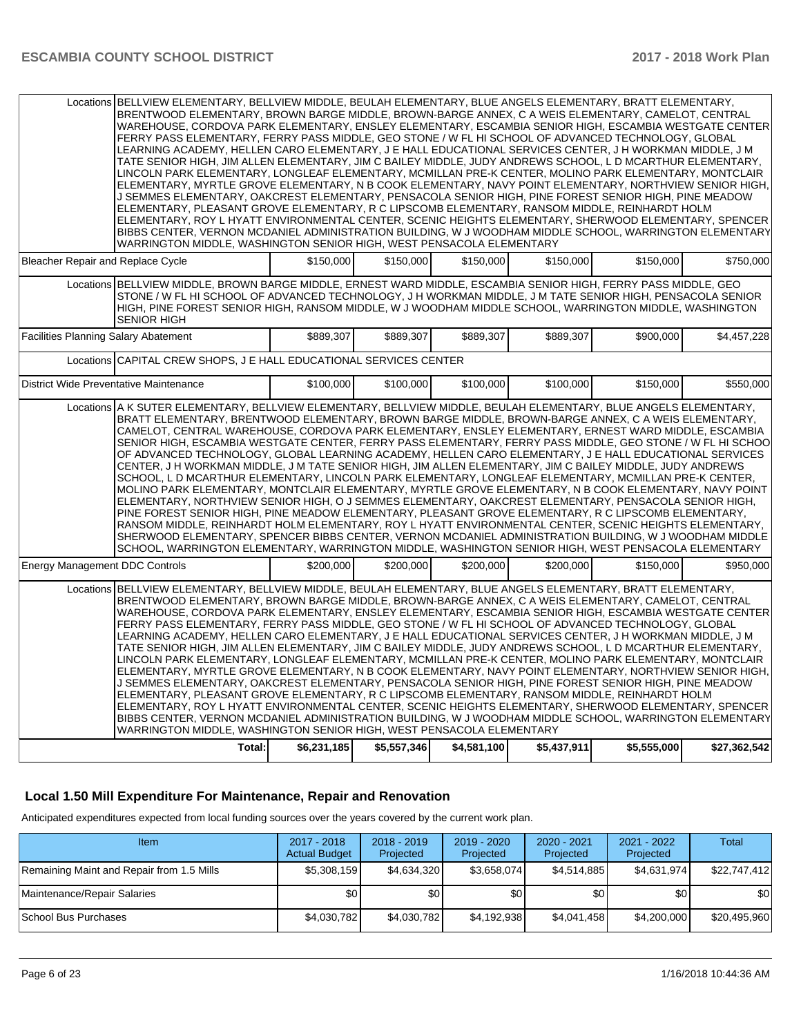|                                             | Locations BELLVIEW ELEMENTARY, BELLVIEW MIDDLE, BEULAH ELEMENTARY, BLUE ANGELS ELEMENTARY, BRATT ELEMENTARY,<br>BRENTWOOD ELEMENTARY, BROWN BARGE MIDDLE, BROWN-BARGE ANNEX, C A WEIS ELEMENTARY, CAMELOT, CENTRAL<br>WAREHOUSE, CORDOVA PARK ELEMENTARY, ENSLEY ELEMENTARY, ESCAMBIA SENIOR HIGH, ESCAMBIA WESTGATE CENTER<br>FERRY PASS ELEMENTARY, FERRY PASS MIDDLE, GEO STONE / W FL HI SCHOOL OF ADVANCED TECHNOLOGY, GLOBAL<br>LEARNING ACADEMY, HELLEN CARO ELEMENTARY, J E HALL EDUCATIONAL SERVICES CENTER, J H WORKMAN MIDDLE, J M<br>TATE SENIOR HIGH, JIM ALLEN ELEMENTARY, JIM C BAILEY MIDDLE, JUDY ANDREWS SCHOOL, L D MCARTHUR ELEMENTARY,<br>LINCOLN PARK ELEMENTARY, LONGLEAF ELEMENTARY, MCMILLAN PRE-K CENTER, MOLINO PARK ELEMENTARY, MONTCLAIR<br>ELEMENTARY, MYRTLE GROVE ELEMENTARY, N B COOK ELEMENTARY, NAVY POINT ELEMENTARY, NORTHVIEW SENIOR HIGH,<br>J SEMMES ELEMENTARY, OAKCREST ELEMENTARY, PENSACOLA SENIOR HIGH, PINE FOREST SENIOR HIGH, PINE MEADOW<br>ELEMENTARY, PLEASANT GROVE ELEMENTARY, R C LIPSCOMB ELEMENTARY, RANSOM MIDDLE, REINHARDT HOLM<br>ELEMENTARY, ROY L HYATT ENVIRONMENTAL CENTER, SCENIC HEIGHTS ELEMENTARY, SHERWOOD ELEMENTARY, SPENCER<br>BIBBS CENTER, VERNON MCDANIEL ADMINISTRATION BUILDING, W J WOODHAM MIDDLE SCHOOL, WARRINGTON ELEMENTARY<br>WARRINGTON MIDDLE, WASHINGTON SENIOR HIGH, WEST PENSACOLA ELEMENTARY                                              |             |             |             |             |             |              |  |
|---------------------------------------------|-------------------------------------------------------------------------------------------------------------------------------------------------------------------------------------------------------------------------------------------------------------------------------------------------------------------------------------------------------------------------------------------------------------------------------------------------------------------------------------------------------------------------------------------------------------------------------------------------------------------------------------------------------------------------------------------------------------------------------------------------------------------------------------------------------------------------------------------------------------------------------------------------------------------------------------------------------------------------------------------------------------------------------------------------------------------------------------------------------------------------------------------------------------------------------------------------------------------------------------------------------------------------------------------------------------------------------------------------------------------------------------------------------------------------------------|-------------|-------------|-------------|-------------|-------------|--------------|--|
| Bleacher Repair and Replace Cycle           |                                                                                                                                                                                                                                                                                                                                                                                                                                                                                                                                                                                                                                                                                                                                                                                                                                                                                                                                                                                                                                                                                                                                                                                                                                                                                                                                                                                                                                     | \$150,000   | \$150,000   | \$150,000   | \$150.000   | \$150,000   | \$750,000    |  |
|                                             | Locations BELLVIEW MIDDLE, BROWN BARGE MIDDLE, ERNEST WARD MIDDLE, ESCAMBIA SENIOR HIGH, FERRY PASS MIDDLE, GEO<br>STONE / W FL HI SCHOOL OF ADVANCED TECHNOLOGY, J H WORKMAN MIDDLE, J M TATE SENIOR HIGH, PENSACOLA SENIOR<br>HIGH, PINE FOREST SENIOR HIGH, RANSOM MIDDLE, W J WOODHAM MIDDLE SCHOOL, WARRINGTON MIDDLE, WASHINGTON<br><b>SENIOR HIGH</b>                                                                                                                                                                                                                                                                                                                                                                                                                                                                                                                                                                                                                                                                                                                                                                                                                                                                                                                                                                                                                                                                        |             |             |             |             |             |              |  |
| <b>Facilities Planning Salary Abatement</b> |                                                                                                                                                                                                                                                                                                                                                                                                                                                                                                                                                                                                                                                                                                                                                                                                                                                                                                                                                                                                                                                                                                                                                                                                                                                                                                                                                                                                                                     | \$889,307   | \$889,307   | \$889,307   | \$889,307   | \$900,000   | \$4,457,228  |  |
|                                             | Locations CAPITAL CREW SHOPS, J E HALL EDUCATIONAL SERVICES CENTER                                                                                                                                                                                                                                                                                                                                                                                                                                                                                                                                                                                                                                                                                                                                                                                                                                                                                                                                                                                                                                                                                                                                                                                                                                                                                                                                                                  |             |             |             |             |             |              |  |
| District Wide Preventative Maintenance      |                                                                                                                                                                                                                                                                                                                                                                                                                                                                                                                                                                                                                                                                                                                                                                                                                                                                                                                                                                                                                                                                                                                                                                                                                                                                                                                                                                                                                                     | \$100,000   | \$100,000   | \$100.000   | \$100,000   | \$150,000   | \$550.000    |  |
|                                             | Locations A K SUTER ELEMENTARY, BELLVIEW ELEMENTARY, BELLVIEW MIDDLE, BEULAH ELEMENTARY, BLUE ANGELS ELEMENTARY,<br>BRATT ELEMENTARY, BRENTWOOD ELEMENTARY, BROWN BARGE MIDDLE, BROWN-BARGE ANNEX, C A WEIS ELEMENTARY,<br>CAMELOT, CENTRAL WAREHOUSE, CORDOVA PARK ELEMENTARY, ENSLEY ELEMENTARY, ERNEST WARD MIDDLE, ESCAMBIA<br>SENIOR HIGH, ESCAMBIA WESTGATE CENTER, FERRY PASS ELEMENTARY, FERRY PASS MIDDLE, GEO STONE / W FL HI SCHOO<br>OF ADVANCED TECHNOLOGY, GLOBAL LEARNING ACADEMY, HELLEN CARO ELEMENTARY, J E HALL EDUCATIONAL SERVICES<br>CENTER, J H WORKMAN MIDDLE, J M TATE SENIOR HIGH, JIM ALLEN ELEMENTARY, JIM C BAILEY MIDDLE, JUDY ANDREWS<br>SCHOOL, L D MCARTHUR ELEMENTARY, LINCOLN PARK ELEMENTARY, LONGLEAF ELEMENTARY, MCMILLAN PRE-K CENTER,<br>MOLINO PARK ELEMENTARY, MONTCLAIR ELEMENTARY, MYRTLE GROVE ELEMENTARY, N B COOK ELEMENTARY, NAVY POINT<br>ELEMENTARY, NORTHVIEW SENIOR HIGH, O J SEMMES ELEMENTARY, OAKCREST ELEMENTARY, PENSACOLA SENIOR HIGH,<br>PINE FOREST SENIOR HIGH, PINE MEADOW ELEMENTARY, PLEASANT GROVE ELEMENTARY, R C LIPSCOMB ELEMENTARY,<br>RANSOM MIDDLE, REINHARDT HOLM ELEMENTARY, ROY L HYATT ENVIRONMENTAL CENTER, SCENIC HEIGHTS ELEMENTARY,<br>SHERWOOD ELEMENTARY, SPENCER BIBBS CENTER, VERNON MCDANIEL ADMINISTRATION BUILDING, W J WOODHAM MIDDLE<br>SCHOOL, WARRINGTON ELEMENTARY, WARRINGTON MIDDLE, WASHINGTON SENIOR HIGH, WEST PENSACOLA ELEMENTARY |             |             |             |             |             |              |  |
| <b>Energy Management DDC Controls</b>       |                                                                                                                                                                                                                                                                                                                                                                                                                                                                                                                                                                                                                                                                                                                                                                                                                                                                                                                                                                                                                                                                                                                                                                                                                                                                                                                                                                                                                                     | \$200,000   | \$200,000   | \$200,000   | \$200,000   | \$150,000   | \$950.000    |  |
|                                             | Locations BELLVIEW ELEMENTARY, BELLVIEW MIDDLE, BEULAH ELEMENTARY, BLUE ANGELS ELEMENTARY, BRATT ELEMENTARY,<br>BRENTWOOD ELEMENTARY, BROWN BARGE MIDDLE, BROWN-BARGE ANNEX, C A WEIS ELEMENTARY, CAMELOT, CENTRAL<br>WAREHOUSE, CORDOVA PARK ELEMENTARY, ENSLEY ELEMENTARY, ESCAMBIA SENIOR HIGH, ESCAMBIA WESTGATE CENTER<br>FERRY PASS ELEMENTARY, FERRY PASS MIDDLE, GEO STONE / W FL HI SCHOOL OF ADVANCED TECHNOLOGY, GLOBAL<br>LEARNING ACADEMY, HELLEN CARO ELEMENTARY, J E HALL EDUCATIONAL SERVICES CENTER, J H WORKMAN MIDDLE, J M<br>TATE SENIOR HIGH, JIM ALLEN ELEMENTARY, JIM C BAILEY MIDDLE, JUDY ANDREWS SCHOOL, L D MCARTHUR ELEMENTARY,<br>LINCOLN PARK ELEMENTARY, LONGLEAF ELEMENTARY, MCMILLAN PRE-K CENTER, MOLINO PARK ELEMENTARY, MONTCLAIR<br>ELEMENTARY, MYRTLE GROVE ELEMENTARY, N B COOK ELEMENTARY, NAVY POINT ELEMENTARY, NORTHVIEW SENIOR HIGH,<br>J SEMMES ELEMENTARY, OAKCREST ELEMENTARY, PENSACOLA SENIOR HIGH, PINE FOREST SENIOR HIGH, PINE MEADOW<br>ELEMENTARY, PLEASANT GROVE ELEMENTARY, R C LIPSCOMB ELEMENTARY, RANSOM MIDDLE, REINHARDT HOLM<br>ELEMENTARY, ROY L HYATT ENVIRONMENTAL CENTER, SCENIC HEIGHTS ELEMENTARY, SHERWOOD ELEMENTARY, SPENCER<br>BIBBS CENTER, VERNON MCDANIEL ADMINISTRATION BUILDING, W J WOODHAM MIDDLE SCHOOL, WARRINGTON ELEMENTARY<br>WARRINGTON MIDDLE, WASHINGTON SENIOR HIGH, WEST PENSACOLA ELEMENTARY                                              |             |             |             |             |             |              |  |
|                                             | Total:                                                                                                                                                                                                                                                                                                                                                                                                                                                                                                                                                                                                                                                                                                                                                                                                                                                                                                                                                                                                                                                                                                                                                                                                                                                                                                                                                                                                                              | \$6,231,185 | \$5,557,346 | \$4,581,100 | \$5,437,911 | \$5,555,000 | \$27,362,542 |  |

## **Local 1.50 Mill Expenditure For Maintenance, Repair and Renovation**

Anticipated expenditures expected from local funding sources over the years covered by the current work plan.

| Item                                      | 2017 - 2018<br><b>Actual Budget</b> | $2018 - 2019$<br>Projected | $2019 - 2020$<br>Projected | 2020 - 2021<br>Projected | 2021 - 2022<br>Projected | Total        |
|-------------------------------------------|-------------------------------------|----------------------------|----------------------------|--------------------------|--------------------------|--------------|
| Remaining Maint and Repair from 1.5 Mills | \$5,308,159                         | \$4,634,320                | \$3,658,074                | \$4,514,885              | \$4.631.974              | \$22,747,412 |
| Maintenance/Repair Salaries               | \$0                                 | \$0 <sub>1</sub>           | \$0                        | \$0                      | \$0 <sub>1</sub>         | \$0          |
| School Bus Purchases                      | \$4,030,782                         | \$4,030,782                | \$4,192,938                | \$4,041,458              | \$4,200,000              | \$20,495,960 |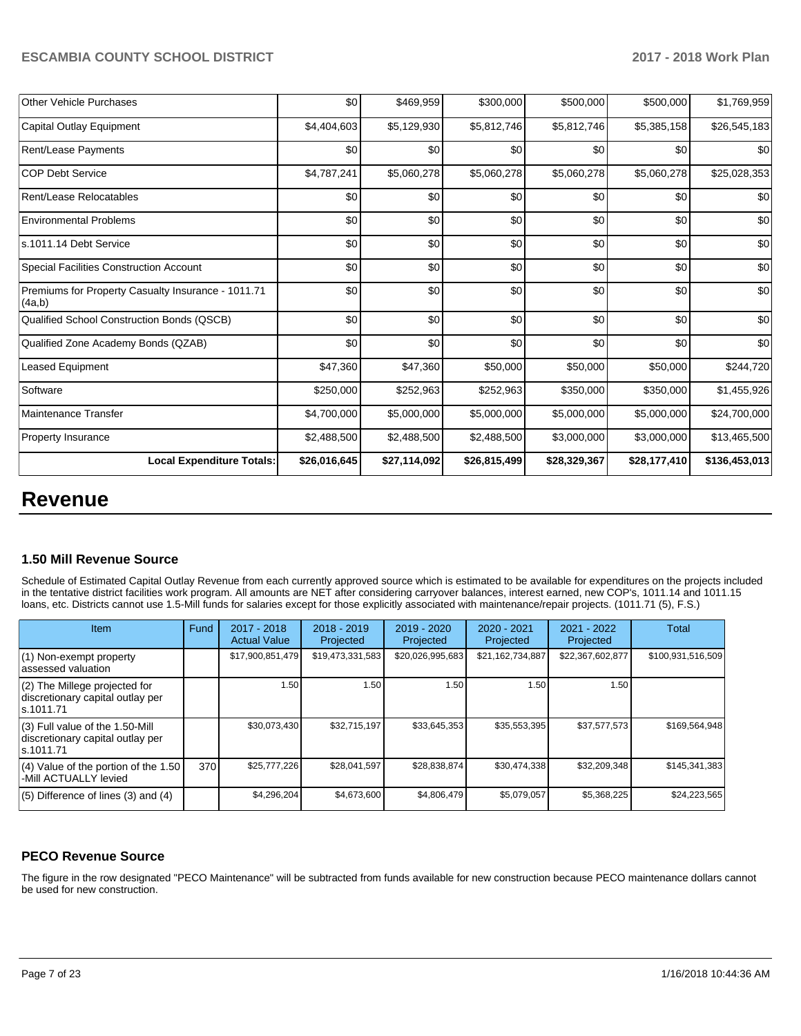| <b>Other Vehicle Purchases</b>                               | \$0          | \$469,959    | \$300,000    | \$500,000    | \$500,000    | \$1,769,959   |
|--------------------------------------------------------------|--------------|--------------|--------------|--------------|--------------|---------------|
| Capital Outlay Equipment                                     | \$4,404,603  | \$5,129,930  | \$5,812,746  | \$5,812,746  | \$5,385,158  | \$26,545,183  |
| <b>Rent/Lease Payments</b>                                   | \$0          | \$0          | \$0          | \$0          | \$0          | \$0           |
| <b>COP Debt Service</b>                                      | \$4,787,241  | \$5,060,278  | \$5,060,278  | \$5,060,278  | \$5,060,278  | \$25,028,353  |
| Rent/Lease Relocatables                                      | \$0          | \$0          | \$0          | \$0          | \$0          | \$0           |
| <b>Environmental Problems</b>                                | \$0          | \$0          | \$0          | \$0          | \$0          | \$0           |
| ls.1011.14 Debt Service                                      | \$0          | \$0          | \$0          | \$0          | \$0          | \$0           |
| Special Facilities Construction Account                      | \$0          | \$0          | \$0          | \$0          | \$0          | \$0           |
| Premiums for Property Casualty Insurance - 1011.71<br>(4a,b) | \$0          | \$0          | \$0          | \$0          | \$0          | \$0           |
| Qualified School Construction Bonds (QSCB)                   | \$0          | \$0          | \$0          | \$0          | \$0          | \$0           |
| Qualified Zone Academy Bonds (QZAB)                          | \$0          | \$0          | \$0          | \$0          | \$0          | \$0           |
| <b>Leased Equipment</b>                                      | \$47,360     | \$47,360     | \$50,000     | \$50,000     | \$50,000     | \$244,720     |
| Software                                                     | \$250,000    | \$252,963    | \$252,963    | \$350,000    | \$350,000    | \$1,455,926   |
| Maintenance Transfer                                         | \$4,700,000  | \$5,000,000  | \$5,000,000  | \$5,000,000  | \$5,000,000  | \$24,700,000  |
| <b>Property Insurance</b>                                    | \$2,488,500  | \$2,488,500  | \$2,488,500  | \$3,000,000  | \$3,000,000  | \$13,465,500  |
| <b>Local Expenditure Totals:</b>                             | \$26,016,645 | \$27,114,092 | \$26,815,499 | \$28,329,367 | \$28,177,410 | \$136,453,013 |

# **Revenue**

## **1.50 Mill Revenue Source**

Schedule of Estimated Capital Outlay Revenue from each currently approved source which is estimated to be available for expenditures on the projects included in the tentative district facilities work program. All amounts are NET after considering carryover balances, interest earned, new COP's, 1011.14 and 1011.15 loans, etc. Districts cannot use 1.5-Mill funds for salaries except for those explicitly associated with maintenance/repair projects. (1011.71 (5), F.S.)

| <b>Item</b>                                                                         | Fund | $2017 - 2018$<br><b>Actual Value</b> | $2018 - 2019$<br>Projected | $2019 - 2020$<br>Projected | $2020 - 2021$<br>Projected | 2021 - 2022<br>Projected | <b>Total</b>      |
|-------------------------------------------------------------------------------------|------|--------------------------------------|----------------------------|----------------------------|----------------------------|--------------------------|-------------------|
| $(1)$ Non-exempt property<br>lassessed valuation                                    |      | \$17,900,851,479                     | \$19,473,331,583           | \$20,026,995,683           | \$21,162,734,887           | \$22,367,602,877         | \$100,931,516,509 |
| $(2)$ The Millege projected for<br>discretionary capital outlay per<br>ls.1011.71   |      | 1.50                                 | 1.50                       | 1.50                       | 1.50                       | 1.50                     |                   |
| $(3)$ Full value of the 1.50-Mill<br>discretionary capital outlay per<br>ls.1011.71 |      | \$30,073,430                         | \$32,715,197               | \$33,645,353               | \$35,553,395               | \$37,577,573             | \$169,564,948     |
| $(4)$ Value of the portion of the 1.50<br>-Mill ACTUALLY levied                     | 370  | \$25,777,226                         | \$28.041.597               | \$28,838,874               | \$30.474.338               | \$32,209,348             | \$145,341,383     |
| $(5)$ Difference of lines $(3)$ and $(4)$                                           |      | \$4,296,204                          | \$4.673.600                | \$4,806,479                | \$5,079,057                | \$5,368,225              | \$24,223,565      |

## **PECO Revenue Source**

The figure in the row designated "PECO Maintenance" will be subtracted from funds available for new construction because PECO maintenance dollars cannot be used for new construction.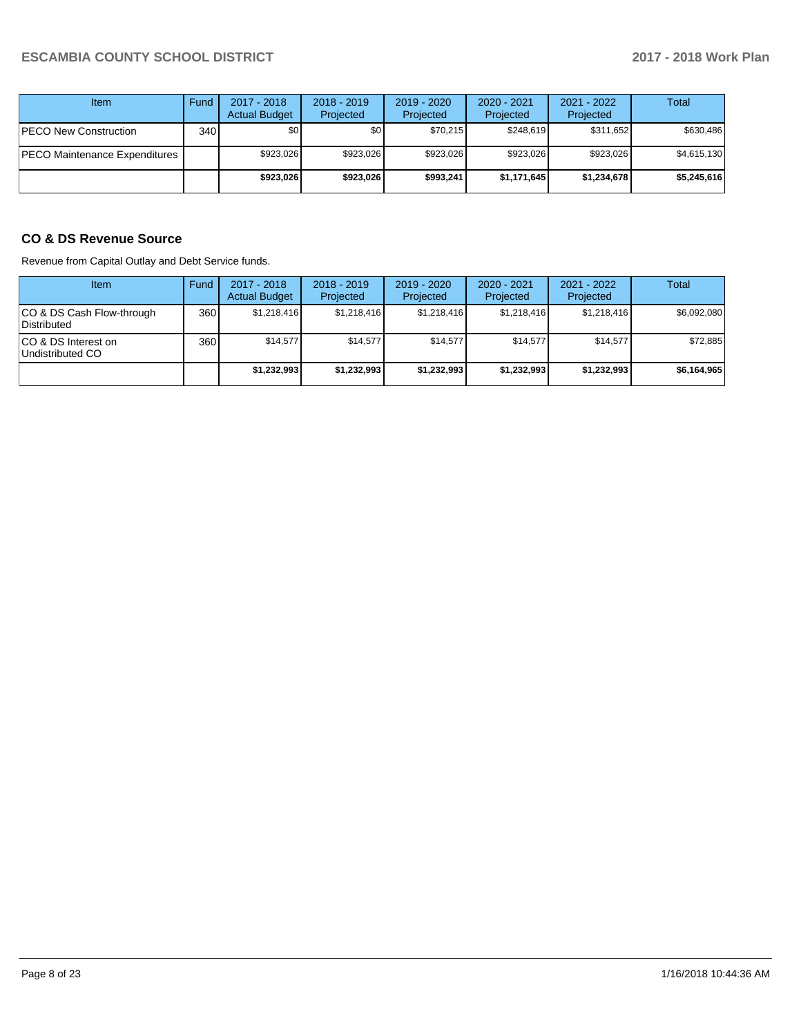| Item                          | Fund         | $2017 - 2018$<br><b>Actual Budget</b> | $2018 - 2019$<br>Projected | $2019 - 2020$<br>Projected | $2020 - 2021$<br>Projected | $2021 - 2022$<br>Projected | <b>Total</b> |
|-------------------------------|--------------|---------------------------------------|----------------------------|----------------------------|----------------------------|----------------------------|--------------|
| <b>PECO New Construction</b>  | 340 <b>I</b> | \$0                                   | \$0 <sub>1</sub>           | \$70.215                   | \$248.619                  | \$311.652                  | \$630.486    |
| PECO Maintenance Expenditures |              | \$923.026                             | \$923.026                  | \$923.026                  | \$923.026                  | \$923.026                  | \$4,615,130  |
|                               |              | \$923.026                             | \$923.026                  | \$993.241                  | \$1,171,645                | \$1,234,678                | \$5,245,616  |

## **CO & DS Revenue Source**

Revenue from Capital Outlay and Debt Service funds.

| Item                                      | Fund | $2017 - 2018$<br><b>Actual Budget</b> | $2018 - 2019$<br>Projected | $2019 - 2020$<br>Projected | $2020 - 2021$<br>Projected | $2021 - 2022$<br>Projected | Total       |
|-------------------------------------------|------|---------------------------------------|----------------------------|----------------------------|----------------------------|----------------------------|-------------|
| ICO & DS Cash Flow-through<br>Distributed | 360  | \$1.218.416                           | \$1.218.416                | \$1.218.416                | \$1.218.416                | \$1,218,416                | \$6,092,080 |
| ICO & DS Interest on<br>Undistributed CO  | 360  | \$14.577                              | \$14.577                   | \$14.577                   | \$14.577                   | \$14,577                   | \$72,885    |
|                                           |      | \$1,232,993                           | \$1,232,993                | \$1,232,993                | \$1,232,993                | \$1,232,993                | \$6,164,965 |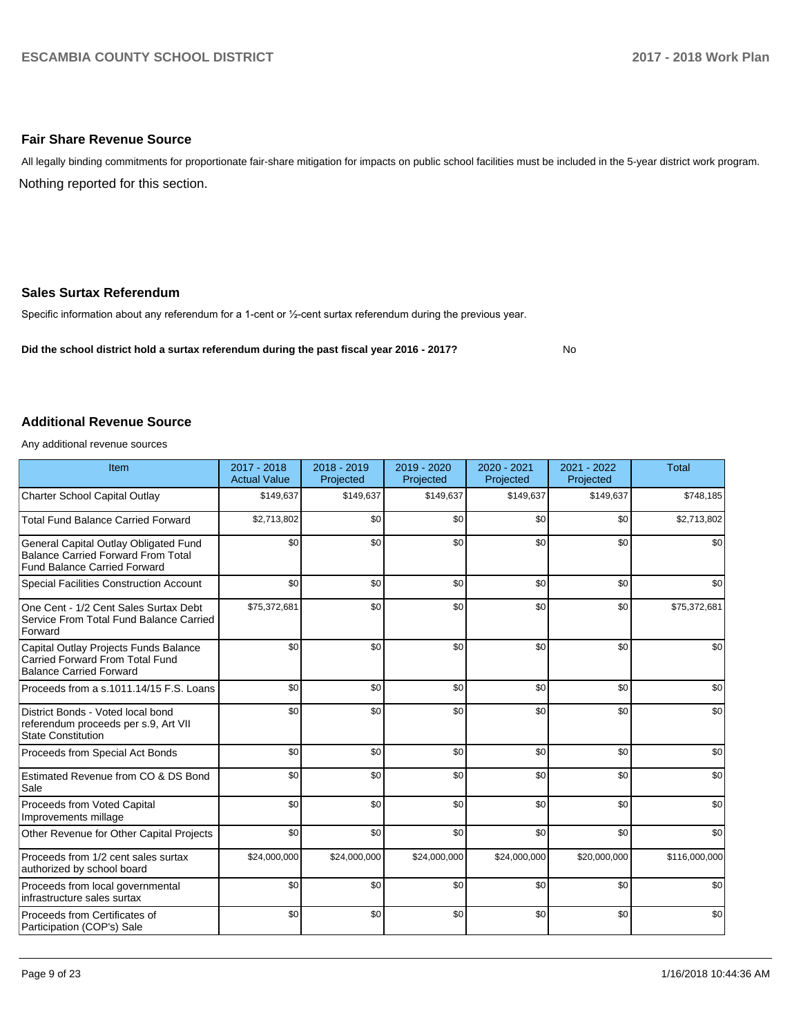## **Fair Share Revenue Source**

Nothing reported for this section. All legally binding commitments for proportionate fair-share mitigation for impacts on public school facilities must be included in the 5-year district work program.

## **Sales Surtax Referendum**

Specific information about any referendum for a 1-cent or 1/2-cent surtax referendum during the previous year.

**Did the school district hold a surtax referendum during the past fiscal year 2016 - 2017?**

No

### **Additional Revenue Source**

Any additional revenue sources

| Item                                                                                                                      | 2017 - 2018<br><b>Actual Value</b> | $2018 - 2019$<br>Projected | 2019 - 2020<br>Projected | $2020 - 2021$<br>Projected | 2021 - 2022<br>Projected | <b>Total</b>  |
|---------------------------------------------------------------------------------------------------------------------------|------------------------------------|----------------------------|--------------------------|----------------------------|--------------------------|---------------|
| Charter School Capital Outlay                                                                                             | \$149,637                          | \$149,637                  | \$149,637                | \$149,637                  | \$149,637                | \$748.185     |
| <b>Total Fund Balance Carried Forward</b>                                                                                 | \$2,713,802                        | \$0                        | \$0                      | \$0                        | \$0                      | \$2,713,802   |
| General Capital Outlay Obligated Fund<br><b>Balance Carried Forward From Total</b><br><b>Fund Balance Carried Forward</b> | \$0                                | \$0                        | \$0                      | \$0                        | \$0                      | \$0           |
| Special Facilities Construction Account                                                                                   | \$0                                | \$0                        | \$0                      | \$0                        | \$0                      | \$0           |
| One Cent - 1/2 Cent Sales Surtax Debt<br>Service From Total Fund Balance Carried<br>Forward                               | \$75,372,681                       | \$0                        | \$0                      | \$0                        | \$0                      | \$75,372,681  |
| Capital Outlay Projects Funds Balance<br>Carried Forward From Total Fund<br><b>Balance Carried Forward</b>                | \$0                                | \$0                        | \$0                      | \$0                        | \$0                      | \$0           |
| Proceeds from a s.1011.14/15 F.S. Loans                                                                                   | \$0                                | \$0                        | \$0                      | \$0                        | \$0                      | \$0           |
| District Bonds - Voted local bond<br>referendum proceeds per s.9, Art VII<br><b>State Constitution</b>                    | \$0                                | \$0                        | \$0                      | \$0                        | \$0                      | \$0           |
| Proceeds from Special Act Bonds                                                                                           | \$0                                | \$0                        | \$0                      | \$0                        | \$0                      | \$0           |
| Estimated Revenue from CO & DS Bond<br>Sale                                                                               | \$0                                | \$0                        | \$0                      | \$0                        | \$0                      | \$0           |
| Proceeds from Voted Capital<br>Improvements millage                                                                       | \$0                                | \$0                        | \$0                      | \$0                        | \$0                      | \$0           |
| Other Revenue for Other Capital Projects                                                                                  | \$0                                | \$0                        | \$0                      | \$0                        | \$0                      | \$0           |
| Proceeds from 1/2 cent sales surtax<br>authorized by school board                                                         | \$24,000,000                       | \$24,000,000               | \$24,000,000             | \$24,000,000               | \$20,000,000             | \$116,000,000 |
| Proceeds from local governmental<br>infrastructure sales surtax                                                           | \$0                                | \$0                        | \$0                      | \$0                        | \$0                      | \$0           |
| Proceeds from Certificates of<br>Participation (COP's) Sale                                                               | \$0                                | \$0                        | \$0                      | \$0                        | \$0                      | \$0           |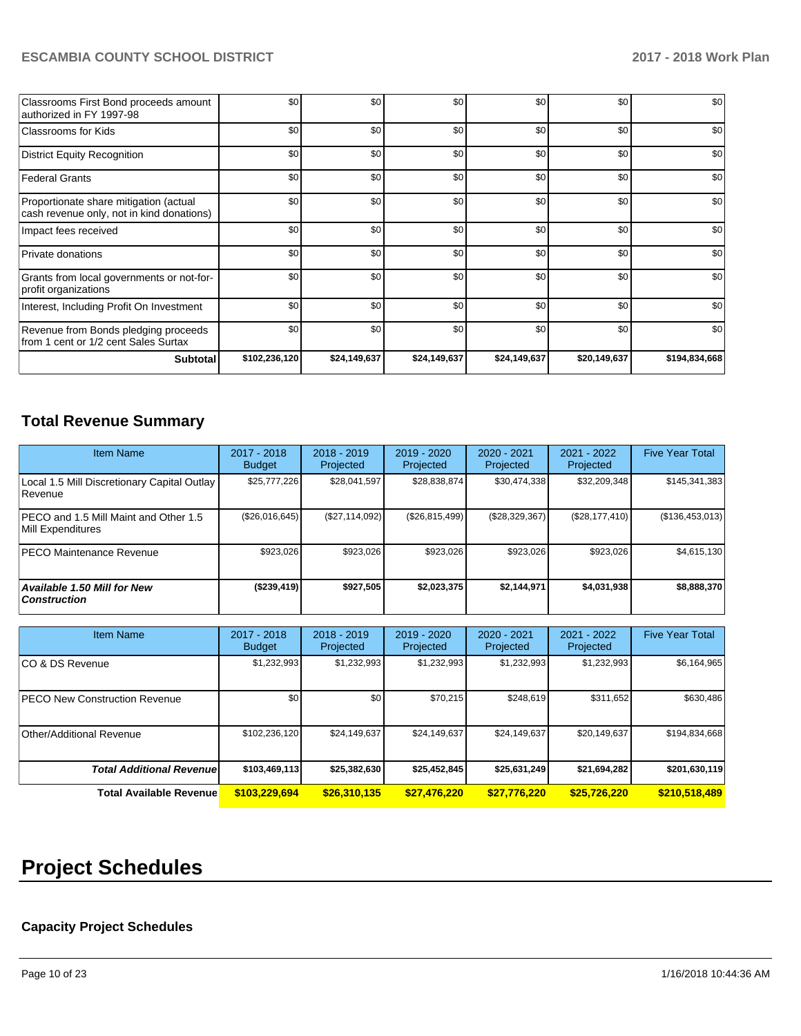| Classrooms First Bond proceeds amount<br>authorized in FY 1997-98                   | \$0           | \$0          | \$0          | \$0          | \$0          | \$0           |
|-------------------------------------------------------------------------------------|---------------|--------------|--------------|--------------|--------------|---------------|
| Classrooms for Kids                                                                 | \$0           | \$0          | \$0          | \$0          | \$0          | \$0           |
| District Equity Recognition                                                         | \$0           | \$0          | \$0          | \$0          | \$0          | \$0           |
| <b>Federal Grants</b>                                                               | \$0           | \$0          | \$0          | \$0          | \$0          | \$0           |
| Proportionate share mitigation (actual<br>cash revenue only, not in kind donations) | \$0           | \$0          | \$0          | \$0          | \$0          | \$0           |
| Impact fees received                                                                | \$0           | \$0          | \$0          | \$0          | \$0          | \$0           |
| <b>Private donations</b>                                                            | \$0           | \$0          | \$0          | \$0          | \$0          | \$0           |
| Grants from local governments or not-for-<br>profit organizations                   | \$0           | \$0          | \$0          | \$0          | \$0          | \$0           |
| Interest, Including Profit On Investment                                            | \$0           | \$0          | \$0          | \$0          | \$0          | \$0           |
| Revenue from Bonds pledging proceeds<br>from 1 cent or 1/2 cent Sales Surtax        | \$0           | \$0          | \$0          | \$0          | \$0          | \$0           |
| <b>Subtotal</b>                                                                     | \$102,236,120 | \$24,149,637 | \$24,149,637 | \$24,149,637 | \$20,149,637 | \$194,834,668 |

# **Total Revenue Summary**

| <b>Item Name</b>                                           | 2017 - 2018<br><b>Budget</b> | $2018 - 2019$<br>Projected | 2019 - 2020<br>Projected | $2020 - 2021$<br>Projected | 2021 - 2022<br>Projected | <b>Five Year Total</b> |
|------------------------------------------------------------|------------------------------|----------------------------|--------------------------|----------------------------|--------------------------|------------------------|
| Local 1.5 Mill Discretionary Capital Outlay<br>l Revenue   | \$25,777,226                 | \$28,041,597               | \$28,838,874             | \$30,474,338               | \$32,209,348             | \$145,341,383          |
| PECO and 1.5 Mill Maint and Other 1.5<br>Mill Expenditures | (\$26,016,645)               | (\$27,114,092)             | (\$26,815,499)           | (S28, 329, 367)            | (\$28,177,410)           | (\$136,453,013)        |
| <b>PECO Maintenance Revenue</b>                            | \$923.026                    | \$923,026                  | \$923.026                | \$923.026                  | \$923,026                | \$4,615,130            |
| Available 1.50 Mill for New<br>  Construction              | (\$239,419)                  | \$927,505                  | \$2,023,375              | \$2,144,971                | \$4,031,938              | \$8,888,370            |

| <b>Item Name</b>                      | $2017 - 2018$<br><b>Budget</b> | $2018 - 2019$<br>Projected | 2019 - 2020<br>Projected | 2020 - 2021<br>Projected | 2021 - 2022<br>Projected | <b>Five Year Total</b> |
|---------------------------------------|--------------------------------|----------------------------|--------------------------|--------------------------|--------------------------|------------------------|
| ICO & DS Revenue                      | \$1,232,993                    | \$1,232,993                | \$1,232,993              | \$1,232,993              | \$1,232,993              | \$6,164,965            |
| <b>IPECO New Construction Revenue</b> | \$0                            | \$0 <sub>1</sub>           | \$70.215                 | \$248,619                | \$311,652                | \$630,486              |
| Other/Additional Revenue              | \$102,236,120                  | \$24,149,637               | \$24,149,637             | \$24,149,637             | \$20,149,637             | \$194,834,668          |
| <b>Total Additional Revenuel</b>      | \$103,469,113                  | \$25,382,630               | \$25,452,845             | \$25,631,249             | \$21,694,282             | \$201,630,119          |
| <b>Total Available Revenue</b>        | \$103,229,694                  | \$26,310,135               | \$27,476,220             | \$27,776,220             | \$25,726,220             | \$210,518,489          |

# **Project Schedules**

## **Capacity Project Schedules**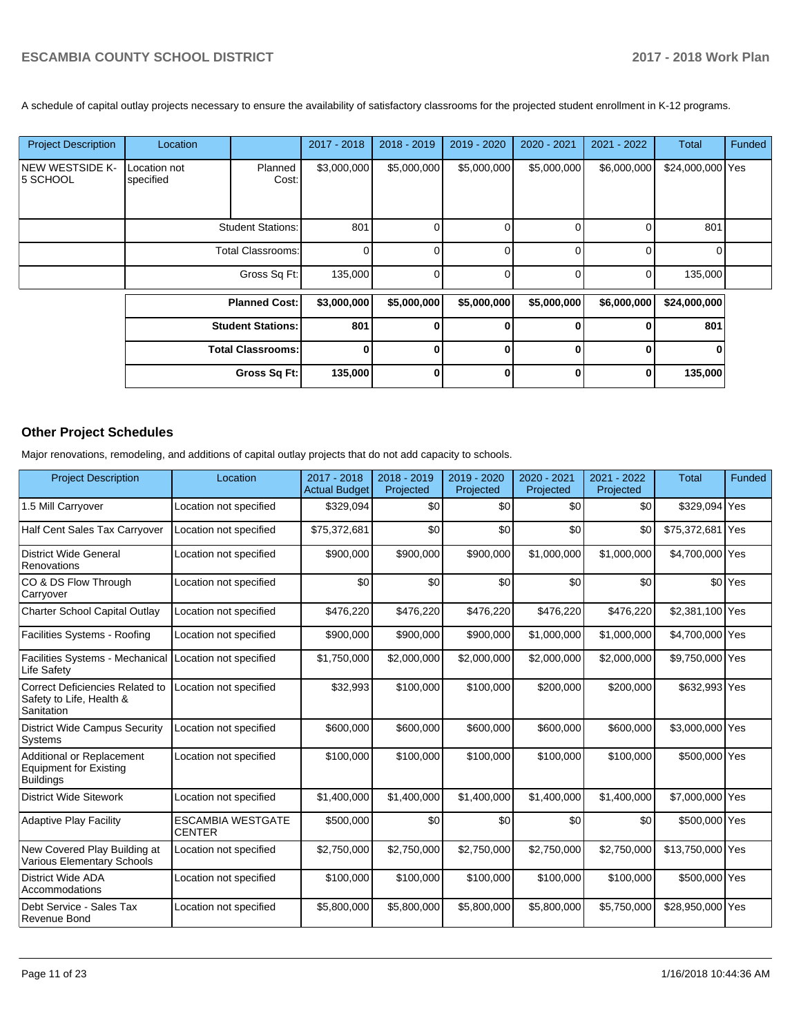A schedule of capital outlay projects necessary to ensure the availability of satisfactory classrooms for the projected student enrollment in K-12 programs.

| <b>Project Description</b>  | Location                  |                          | 2017 - 2018  | $2018 - 2019$ | 2019 - 2020 | 2020 - 2021  | 2021 - 2022 | <b>Total</b>     | Funded |
|-----------------------------|---------------------------|--------------------------|--------------|---------------|-------------|--------------|-------------|------------------|--------|
| NEW WESTSIDE K-<br>5 SCHOOL | Location not<br>specified | Planned<br>Cost:         | \$3,000,000  | \$5,000,000   | \$5,000,000 | \$5,000,000  | \$6,000,000 | \$24,000,000 Yes |        |
|                             |                           | <b>Student Stations:</b> | 801          |               | 0           | 0            |             | 801              |        |
|                             |                           | <b>Total Classrooms:</b> | $\Omega$     |               | 0           | <sup>0</sup> |             | U                |        |
|                             |                           | Gross Sq Ft:             | 135,000      |               | 0           | $\Omega$     |             | 135,000          |        |
|                             |                           | <b>Planned Cost:</b>     | \$3,000,000  | \$5,000,000   | \$5,000,000 | \$5,000,000  | \$6,000,000 | \$24,000,000     |        |
|                             |                           | <b>Student Stations:</b> | 801          |               | 0           | <sup>0</sup> |             | 801              |        |
|                             |                           | <b>Total Classrooms:</b> | $\mathbf{0}$ |               | $\bf{0}$    | $\bf{0}$     |             | $\bf{0}$         |        |
|                             |                           | Gross Sq Ft:             | 135,000      |               | 0           | 0            |             | 135,000          |        |

## **Other Project Schedules**

Major renovations, remodeling, and additions of capital outlay projects that do not add capacity to schools.

| <b>Project Description</b>                                                     | Location                                  | 2017 - 2018<br><b>Actual Budget</b> | 2018 - 2019<br>Projected | 2019 - 2020<br>Projected | 2020 - 2021<br>Projected | 2021 - 2022<br>Projected | <b>Total</b>     | Funded             |
|--------------------------------------------------------------------------------|-------------------------------------------|-------------------------------------|--------------------------|--------------------------|--------------------------|--------------------------|------------------|--------------------|
| 1.5 Mill Carryover                                                             | Location not specified                    | \$329,094                           | \$0                      | \$0                      | \$0                      | \$0                      | \$329,094 Yes    |                    |
| Half Cent Sales Tax Carryover                                                  | Location not specified                    | \$75,372,681                        | \$0                      | \$0                      | \$0                      | \$0                      | \$75,372,681 Yes |                    |
| <b>District Wide General</b><br>Renovations                                    | Location not specified                    | \$900,000                           | \$900,000                | \$900,000                | \$1,000,000              | \$1,000,000              | \$4,700,000 Yes  |                    |
| CO & DS Flow Through<br>Carryover                                              | Location not specified                    | \$0                                 | \$0                      | \$0                      | \$0                      | \$0                      |                  | \$0 <sup>Yes</sup> |
| Charter School Capital Outlay                                                  | Location not specified                    | \$476,220                           | \$476,220                | \$476,220                | \$476,220                | \$476,220                | \$2,381,100 Yes  |                    |
| Facilities Systems - Roofing                                                   | Location not specified                    | \$900,000                           | \$900,000                | \$900,000                | \$1,000,000              | \$1,000,000              | \$4,700,000 Yes  |                    |
| Facilities Systems - Mechanical<br>Life Safety                                 | Location not specified                    | \$1,750,000                         | \$2,000,000              | \$2,000,000              | \$2,000,000              | \$2,000,000              | \$9,750,000 Yes  |                    |
| Correct Deficiencies Related to<br>Safety to Life, Health &<br>Sanitation      | Location not specified                    | \$32,993                            | \$100,000                | \$100,000                | \$200,000                | \$200,000                | \$632,993 Yes    |                    |
| <b>District Wide Campus Security</b><br>Systems                                | Location not specified                    | \$600,000                           | \$600,000                | \$600,000                | \$600,000                | \$600,000                | \$3,000,000 Yes  |                    |
| Additional or Replacement<br><b>Equipment for Existing</b><br><b>Buildings</b> | Location not specified                    | \$100,000                           | \$100,000                | \$100,000                | \$100,000                | \$100,000                | \$500,000 Yes    |                    |
| <b>District Wide Sitework</b>                                                  | Location not specified                    | \$1,400,000                         | \$1,400,000              | \$1,400,000              | \$1,400,000              | \$1,400,000              | \$7,000,000 Yes  |                    |
| <b>Adaptive Play Facility</b>                                                  | <b>ESCAMBIA WESTGATE</b><br><b>CENTER</b> | \$500,000                           | \$0                      | \$0                      | \$0                      | \$0                      | \$500,000 Yes    |                    |
| New Covered Play Building at<br>Various Elementary Schools                     | Location not specified                    | \$2,750,000                         | \$2,750,000              | \$2,750,000              | \$2,750,000              | \$2,750,000              | \$13,750,000 Yes |                    |
| <b>District Wide ADA</b><br>Accommodations                                     | Location not specified                    | \$100,000                           | \$100,000                | \$100,000                | \$100,000                | \$100,000                | \$500,000 Yes    |                    |
| Debt Service - Sales Tax<br>Revenue Bond                                       | Location not specified                    | \$5,800,000                         | \$5,800,000              | \$5,800,000              | \$5,800,000              | \$5,750,000              | \$28,950,000     | Yes                |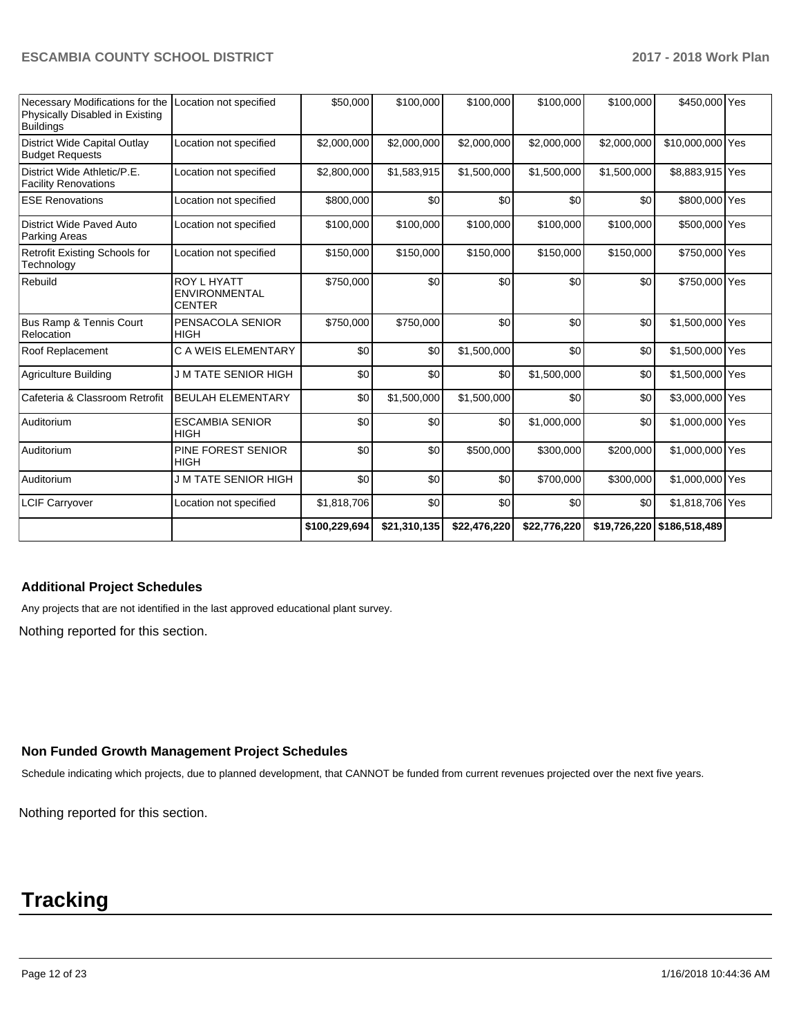| Necessary Modifications for the<br>Physically Disabled in Existing<br><b>Buildings</b> | Location not specified                                      | \$50,000      | \$100.000    | \$100.000    | \$100.000    | \$100.000   | \$450,000 Yes              |  |
|----------------------------------------------------------------------------------------|-------------------------------------------------------------|---------------|--------------|--------------|--------------|-------------|----------------------------|--|
| District Wide Capital Outlay<br><b>Budget Requests</b>                                 | Location not specified                                      | \$2,000,000   | \$2,000,000  | \$2,000,000  | \$2,000,000  | \$2,000,000 | \$10,000,000 Yes           |  |
| District Wide Athletic/P.E.<br><b>Facility Renovations</b>                             | Location not specified                                      | \$2,800,000   | \$1,583,915  | \$1,500,000  | \$1,500,000  | \$1,500,000 | \$8,883,915 Yes            |  |
| <b>ESE Renovations</b>                                                                 | Location not specified                                      | \$800,000     | \$0          | \$0          | \$0          | \$0         | \$800,000 Yes              |  |
| District Wide Paved Auto<br>Parking Areas                                              | Location not specified                                      | \$100,000     | \$100,000    | \$100,000    | \$100,000    | \$100,000   | \$500,000 Yes              |  |
| Retrofit Existing Schools for<br>Technology                                            | Location not specified                                      | \$150,000     | \$150,000    | \$150,000    | \$150,000    | \$150,000   | \$750,000 Yes              |  |
| Rebuild                                                                                | <b>ROY L HYATT</b><br><b>ENVIRONMENTAL</b><br><b>CENTER</b> | \$750,000     | \$0          | \$0          | \$0          | \$0         | \$750,000 Yes              |  |
| Bus Ramp & Tennis Court<br>Relocation                                                  | PENSACOLA SENIOR<br><b>HIGH</b>                             | \$750,000     | \$750,000    | \$0          | \$0          | \$0         | \$1,500,000 Yes            |  |
| Roof Replacement                                                                       | C A WEIS ELEMENTARY                                         | \$0           | \$0          | \$1,500,000  | \$0          | \$0         | \$1,500,000 Yes            |  |
| Agriculture Building                                                                   | J M TATE SENIOR HIGH                                        | \$0           | \$0          | \$0          | \$1,500,000  | \$0         | \$1,500,000 Yes            |  |
| Cafeteria & Classroom Retrofit                                                         | <b>BEULAH ELEMENTARY</b>                                    | \$0           | \$1,500,000  | \$1,500,000  | \$0          | \$0         | \$3,000,000 Yes            |  |
| Auditorium                                                                             | <b>ESCAMBIA SENIOR</b><br><b>HIGH</b>                       | \$0           | \$0          | \$0          | \$1,000,000  | \$0         | \$1,000,000 Yes            |  |
| Auditorium                                                                             | <b>PINE FOREST SENIOR</b><br><b>HIGH</b>                    | \$0           | \$0          | \$500,000    | \$300,000    | \$200,000   | \$1,000,000 Yes            |  |
| Auditorium                                                                             | J M TATE SENIOR HIGH                                        | \$0           | \$0          | \$0          | \$700,000    | \$300,000   | \$1,000,000 Yes            |  |
| <b>LCIF Carryover</b>                                                                  | Location not specified                                      | \$1,818,706   | \$0          | \$0          | \$0          | \$0         | \$1,818,706 Yes            |  |
|                                                                                        |                                                             | \$100,229,694 | \$21,310,135 | \$22,476,220 | \$22,776,220 |             | \$19,726,220 \$186,518,489 |  |

## **Additional Project Schedules**

Any projects that are not identified in the last approved educational plant survey.

Nothing reported for this section.

## **Non Funded Growth Management Project Schedules**

Schedule indicating which projects, due to planned development, that CANNOT be funded from current revenues projected over the next five years.

Nothing reported for this section.

# **Tracking**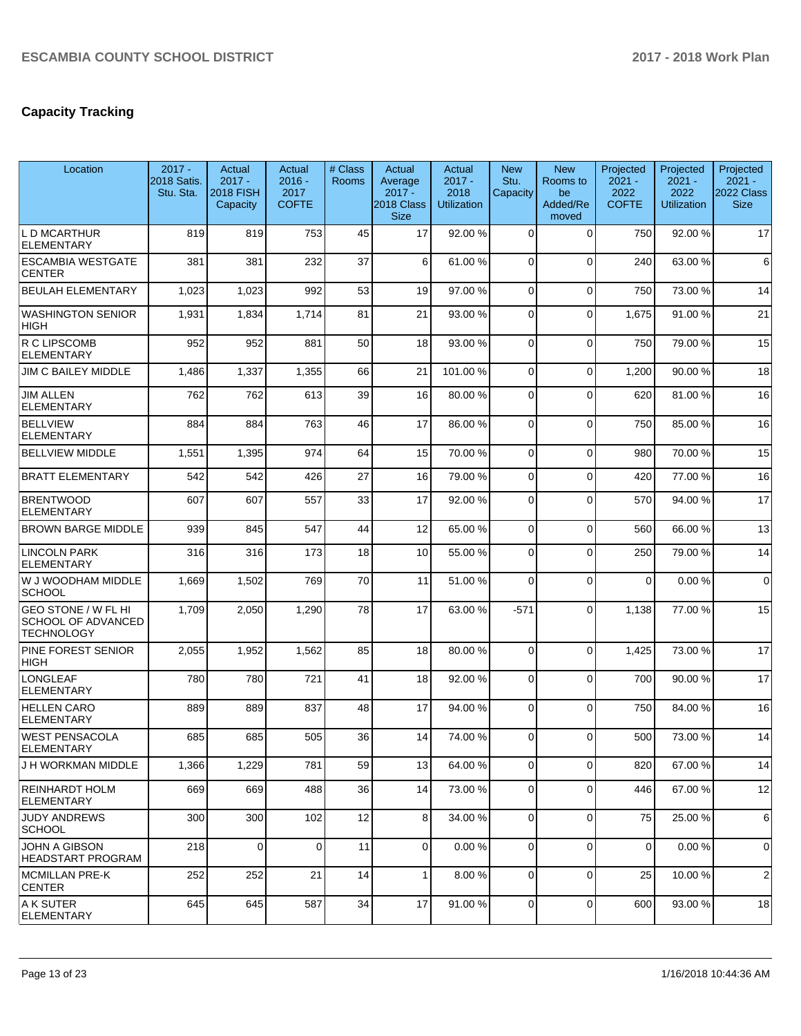# **Capacity Tracking**

| Location                                                       | $2017 -$<br>2018 Satis.<br>Stu. Sta. | Actual<br>$2017 -$<br><b>2018 FISH</b><br>Capacity | Actual<br>$2016 -$<br>2017<br><b>COFTE</b> | # Class<br><b>Rooms</b> | Actual<br>Average<br>$2017 -$<br>2018 Class<br><b>Size</b> | Actual<br>$2017 -$<br>2018<br><b>Utilization</b> | <b>New</b><br>Stu.<br>Capacity | <b>New</b><br>Rooms to<br>be<br>Added/Re<br>moved | Projected<br>$2021 -$<br>2022<br><b>COFTE</b> | Projected<br>$2021 -$<br>2022<br><b>Utilization</b> | Projected<br>$2021 -$<br>2022 Class<br><b>Size</b> |
|----------------------------------------------------------------|--------------------------------------|----------------------------------------------------|--------------------------------------------|-------------------------|------------------------------------------------------------|--------------------------------------------------|--------------------------------|---------------------------------------------------|-----------------------------------------------|-----------------------------------------------------|----------------------------------------------------|
| L D MCARTHUR<br><b>ELEMENTARY</b>                              | 819                                  | 819                                                | 753                                        | 45                      | 17                                                         | 92.00 %                                          | $\Omega$                       | $\mathbf 0$                                       | 750                                           | 92.00 %                                             | 17                                                 |
| <b>ESCAMBIA WESTGATE</b><br><b>CENTER</b>                      | 381                                  | 381                                                | 232                                        | 37                      | 6                                                          | 61.00%                                           | $\Omega$                       | $\Omega$                                          | 240                                           | 63.00 %                                             | 6                                                  |
| <b>BEULAH ELEMENTARY</b>                                       | 1,023                                | 1,023                                              | 992                                        | 53                      | 19                                                         | 97.00%                                           | $\Omega$                       | $\Omega$                                          | 750                                           | 73.00 %                                             | 14                                                 |
| <b>WASHINGTON SENIOR</b><br><b>HIGH</b>                        | 1,931                                | 1,834                                              | 1,714                                      | 81                      | 21                                                         | 93.00%                                           | $\Omega$                       | $\mathbf 0$                                       | 1,675                                         | 91.00%                                              | 21                                                 |
| R C LIPSCOMB<br><b>ELEMENTARY</b>                              | 952                                  | 952                                                | 881                                        | 50                      | 18                                                         | 93.00 %                                          | $\Omega$                       | $\mathbf 0$                                       | 750                                           | 79.00 %                                             | 15                                                 |
| JIM C BAILEY MIDDLE                                            | 1,486                                | 1,337                                              | 1,355                                      | 66                      | 21                                                         | 101.00%                                          | $\mathbf 0$                    | $\mathbf 0$                                       | 1,200                                         | 90.00 %                                             | 18                                                 |
| <b>JIM ALLEN</b><br>ELEMENTARY                                 | 762                                  | 762                                                | 613                                        | 39                      | 16                                                         | 80.00%                                           | $\Omega$                       | $\Omega$                                          | 620                                           | 81.00%                                              | 16                                                 |
| BELLVIEW<br><b>ELEMENTARY</b>                                  | 884                                  | 884                                                | 763                                        | 46                      | 17                                                         | 86.00%                                           | $\Omega$                       | $\Omega$                                          | 750                                           | 85.00 %                                             | 16                                                 |
| <b>BELLVIEW MIDDLE</b>                                         | 1,551                                | 1,395                                              | 974                                        | 64                      | 15                                                         | 70.00%                                           | $\mathbf 0$                    | $\mathbf 0$                                       | 980                                           | 70.00 %                                             | 15                                                 |
| <b>BRATT ELEMENTARY</b>                                        | 542                                  | 542                                                | 426                                        | 27                      | 16                                                         | 79.00 %                                          | $\mathbf 0$                    | $\Omega$                                          | 420                                           | 77.00 %                                             | 16                                                 |
| <b>BRENTWOOD</b><br><b>ELEMENTARY</b>                          | 607                                  | 607                                                | 557                                        | 33                      | 17                                                         | 92.00 %                                          | $\Omega$                       | $\Omega$                                          | 570                                           | 94.00 %                                             | 17                                                 |
| <b>BROWN BARGE MIDDLE</b>                                      | 939                                  | 845                                                | 547                                        | 44                      | 12                                                         | 65.00 %                                          | $\mathbf 0$                    | $\mathbf 0$                                       | 560                                           | 66.00 %                                             | 13                                                 |
| <b>LINCOLN PARK</b><br>ELEMENTARY                              | 316                                  | 316                                                | 173                                        | 18                      | 10                                                         | 55.00 %                                          | $\Omega$                       | $\mathbf 0$                                       | 250                                           | 79.00 %                                             | 14                                                 |
| W J WOODHAM MIDDLE<br><b>SCHOOL</b>                            | 1,669                                | 1,502                                              | 769                                        | 70                      | 11                                                         | 51.00 %                                          | $\Omega$                       | $\Omega$                                          | $\Omega$                                      | 0.00%                                               | $\mathbf 0$                                        |
| GEO STONE / W FL HI<br>SCHOOL OF ADVANCED<br><b>TECHNOLOGY</b> | 1,709                                | 2,050                                              | 1,290                                      | 78                      | 17                                                         | 63.00 %                                          | $-571$                         | $\Omega$                                          | 1,138                                         | 77.00 %                                             | 15                                                 |
| PINE FOREST SENIOR<br>HIGH                                     | 2,055                                | 1,952                                              | 1,562                                      | 85                      | 18                                                         | 80.00 %                                          | $\Omega$                       | $\mathbf 0$                                       | 1,425                                         | 73.00 %                                             | 17                                                 |
| <b>LONGLEAF</b><br><b>ELEMENTARY</b>                           | 780                                  | 780                                                | 721                                        | 41                      | 18                                                         | 92.00 %                                          | $\Omega$                       | $\Omega$                                          | 700                                           | 90.00 %                                             | 17                                                 |
| <b>HELLEN CARO</b><br><b>ELEMENTARY</b>                        | 889                                  | 889                                                | 837                                        | 48                      | 17                                                         | 94.00 %                                          | $\mathbf 0$                    | $\mathbf 0$                                       | 750                                           | 84.00 %                                             | 16                                                 |
| WEST PENSACOLA<br><b>ELEMENTARY</b>                            | 685                                  | 685                                                | 505                                        | 36                      | 14                                                         | 74.00 %                                          | $\Omega$                       | $\Omega$                                          | 500                                           | 73.00 %                                             | 14                                                 |
| J H WORKMAN MIDDLE                                             | 1,366                                | 1,229                                              | 781                                        | 59                      | 13                                                         | 64.00%                                           | 0                              | $\Omega$                                          | 820                                           | 67.00 %                                             | 14                                                 |
| REINHARDT HOLM<br><b>ELEMENTARY</b>                            | 669                                  | 669                                                | 488                                        | 36                      | 14                                                         | 73.00 %                                          | 0                              | $\Omega$                                          | 446                                           | 67.00 %                                             | 12                                                 |
| JUDY ANDREWS<br><b>SCHOOL</b>                                  | 300                                  | 300                                                | 102                                        | 12                      | 8                                                          | 34.00 %                                          | $\mathbf 0$                    | $\mathbf 0$                                       | 75                                            | 25.00 %                                             | 6                                                  |
| JOHN A GIBSON<br><b>HEADSTART PROGRAM</b>                      | 218                                  | $\mathbf 0$                                        | $\Omega$                                   | 11                      | $\overline{0}$                                             | 0.00%                                            | 0                              | $\mathbf 0$                                       | $\mathbf 0$                                   | 0.00%                                               | $\mathbf 0$                                        |
| IMCMILLAN PRE-K<br><b>CENTER</b>                               | 252                                  | 252                                                | 21                                         | 14                      | 1                                                          | 8.00 %                                           | $\Omega$                       | $\mathbf 0$                                       | 25                                            | 10.00 %                                             | $\overline{2}$                                     |
| A K SUTER<br><b>ELEMENTARY</b>                                 | 645                                  | 645                                                | 587                                        | 34                      | 17                                                         | 91.00%                                           | 0                              | $\mathbf 0$                                       | 600                                           | 93.00 %                                             | 18                                                 |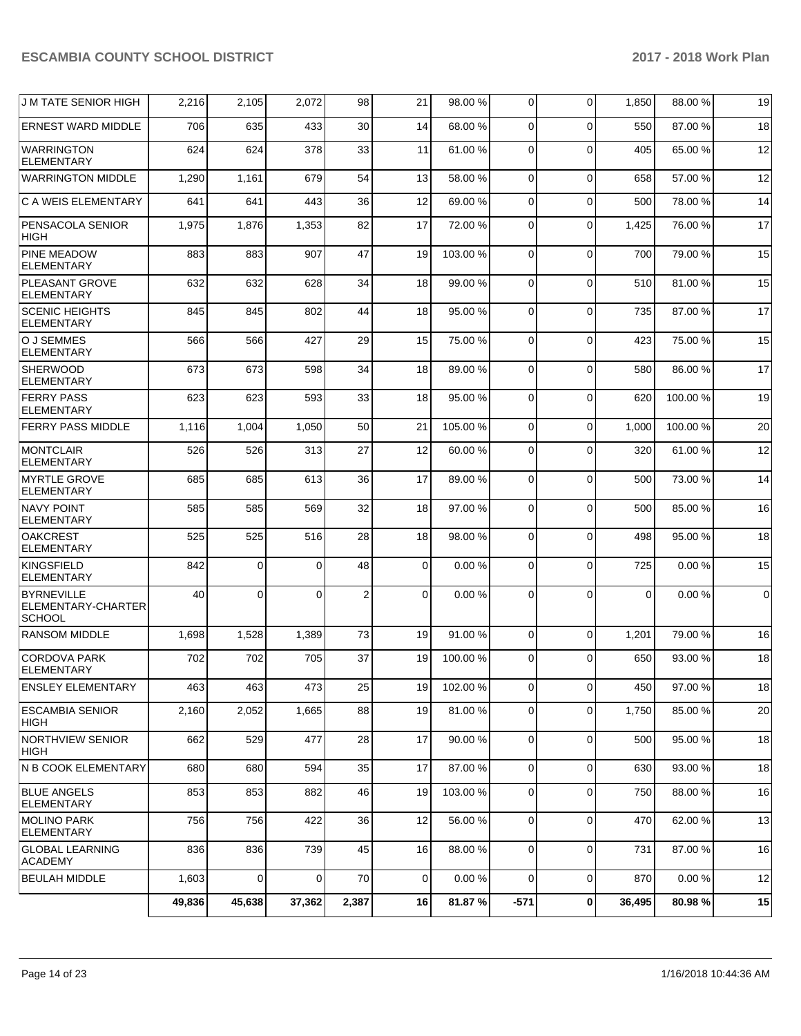| <b>J M TATE SENIOR HIGH</b>                              | 2,216  | 2,105          | 2,072          | 98             | 21          | 98.00 %  | 0              | $\Omega$       | 1,850    | 88.00 % | 19          |
|----------------------------------------------------------|--------|----------------|----------------|----------------|-------------|----------|----------------|----------------|----------|---------|-------------|
| <b>ERNEST WARD MIDDLE</b>                                | 706    | 635            | 433            | 30             | 14          | 68.00 %  | $\Omega$       | $\Omega$       | 550      | 87.00 % | 18          |
| <b>WARRINGTON</b><br>ELEMENTARY                          | 624    | 624            | 378            | 33             | 11          | 61.00 %  | 0              | $\Omega$       | 405      | 65.00 % | 12          |
| <b>WARRINGTON MIDDLE</b>                                 | 1,290  | 1,161          | 679            | 54             | 13          | 58.00 %  | 0              | $\Omega$       | 658      | 57.00 % | 12          |
| C A WEIS ELEMENTARY                                      | 641    | 641            | 443            | 36             | 12          | 69.00 %  | 0              | $\Omega$       | 500      | 78.00 % | 14          |
| PENSACOLA SENIOR<br>HIGH                                 | 1,975  | 1,876          | 1,353          | 82             | 17          | 72.00 %  | $\Omega$       | $\Omega$       | 1,425    | 76.00 % | 17          |
| <b>PINE MEADOW</b><br><b>ELEMENTARY</b>                  | 883    | 883            | 907            | 47             | 19          | 103.00 % | 0              | $\Omega$       | 700      | 79.00 % | 15          |
| PLEASANT GROVE<br><b>ELEMENTARY</b>                      | 632    | 632            | 628            | 34             | 18          | 99.00 %  | $\Omega$       | $\Omega$       | 510      | 81.00 % | 15          |
| <b>SCENIC HEIGHTS</b><br><b>ELEMENTARY</b>               | 845    | 845            | 802            | 44             | 18          | 95.00 %  | $\Omega$       | $\Omega$       | 735      | 87.00 % | 17          |
| O J SEMMES<br><b>ELEMENTARY</b>                          | 566    | 566            | 427            | 29             | 15          | 75.00 %  | 0              | $\Omega$       | 423      | 75.00 % | 15          |
| <b>SHERWOOD</b><br><b>ELEMENTARY</b>                     | 673    | 673            | 598            | 34             | 18          | 89.00 %  | 0              | $\Omega$       | 580      | 86.00 % | 17          |
| <b>FERRY PASS</b><br><b>ELEMENTARY</b>                   | 623    | 623            | 593            | 33             | 18          | 95.00 %  | $\Omega$       | $\Omega$       | 620      | 100.00% | 19          |
| <b>FERRY PASS MIDDLE</b>                                 | 1,116  | 1,004          | 1,050          | 50             | 21          | 105.00 % | $\Omega$       | $\Omega$       | 1,000    | 100.00% | 20          |
| <b>MONTCLAIR</b><br><b>ELEMENTARY</b>                    | 526    | 526            | 313            | 27             | 12          | 60.00 %  | 0              | $\Omega$       | 320      | 61.00%  | 12          |
| <b>MYRTLE GROVE</b><br><b>ELEMENTARY</b>                 | 685    | 685            | 613            | 36             | 17          | 89.00 %  | 0              | $\Omega$       | 500      | 73.00 % | 14          |
| <b>NAVY POINT</b><br><b>ELEMENTARY</b>                   | 585    | 585            | 569            | 32             | 18          | 97.00 %  | $\Omega$       | $\Omega$       | 500      | 85.00 % | 16          |
| <b>OAKCREST</b><br><b>ELEMENTARY</b>                     | 525    | 525            | 516            | 28             | 18          | 98.00 %  | 0              | $\Omega$       | 498      | 95.00 % | 18          |
| KINGSFIELD<br><b>ELEMENTARY</b>                          | 842    | 0              | $\Omega$       | 48             | 0           | 0.00%    | 0              | $\Omega$       | 725      | 0.00%   | 15          |
| <b>BYRNEVILLE</b><br>ELEMENTARY-CHARTER<br><b>SCHOOL</b> | 40     | 0              | $\Omega$       | $\overline{2}$ | 0           | 0.00%    | $\Omega$       | $\Omega$       | $\Omega$ | 0.00%   | $\mathbf 0$ |
| <b>RANSOM MIDDLE</b>                                     | 1,698  | 1,528          | 1,389          | 73             | 19          | 91.00 %  | $\mathbf{0}$   | $\Omega$       | 1,201    | 79.00 % | 16          |
| <b>CORDOVA PARK</b><br><b>ELEMENTARY</b>                 | 702    | 702            | 705            | 37             | 19          | 100.00%  | $\Omega$       | $\Omega$       | 650      | 93.00 % | 18          |
| <b>ENSLEY ELEMENTARY</b>                                 | 463    | 463            | 473            | 25             | 19          | 102.00 % | $\overline{0}$ | $\overline{0}$ | 450      | 97.00%  | 18          |
| <b>ESCAMBIA SENIOR</b><br>HIGH                           | 2,160  | 2,052          | 1,665          | 88             | 19          | 81.00%   | $\overline{0}$ | $\Omega$       | 1,750    | 85.00 % | 20          |
| <b>NORTHVIEW SENIOR</b><br><b>HIGH</b>                   | 662    | 529            | 477            | 28             | 17          | 90.00 %  | 0              | $\mathbf 0$    | 500      | 95.00 % | 18          |
| N B COOK ELEMENTARY                                      | 680    | 680            | 594            | 35             | 17          | 87.00 %  | $\mathbf{0}$   | $\mathbf 0$    | 630      | 93.00 % | 18          |
| <b>BLUE ANGELS</b><br><b>ELEMENTARY</b>                  | 853    | 853            | 882            | 46             | 19          | 103.00 % | $\mathbf{0}$   | $\Omega$       | 750      | 88.00 % | 16          |
| <b>MOLINO PARK</b><br><b>ELEMENTARY</b>                  | 756    | 756            | 422            | 36             | 12          | 56.00 %  | $\overline{0}$ | $\mathbf 0$    | 470      | 62.00%  | 13          |
| <b>GLOBAL LEARNING</b><br><b>ACADEMY</b>                 | 836    | 836            | 739            | 45             | 16          | 88.00 %  | 0              | $\mathbf 0$    | 731      | 87.00 % | 16          |
| <b>BEULAH MIDDLE</b>                                     | 1,603  | $\overline{0}$ | $\overline{0}$ | 70             | $\mathbf 0$ | 0.00%    | $\mathbf{0}$   | $\mathbf 0$    | 870      | 0.00%   | 12          |
|                                                          | 49,836 | 45,638         | 37,362         | 2,387          | 16          | 81.87%   | $-571$         | $\bf{0}$       | 36,495   | 80.98%  | 15          |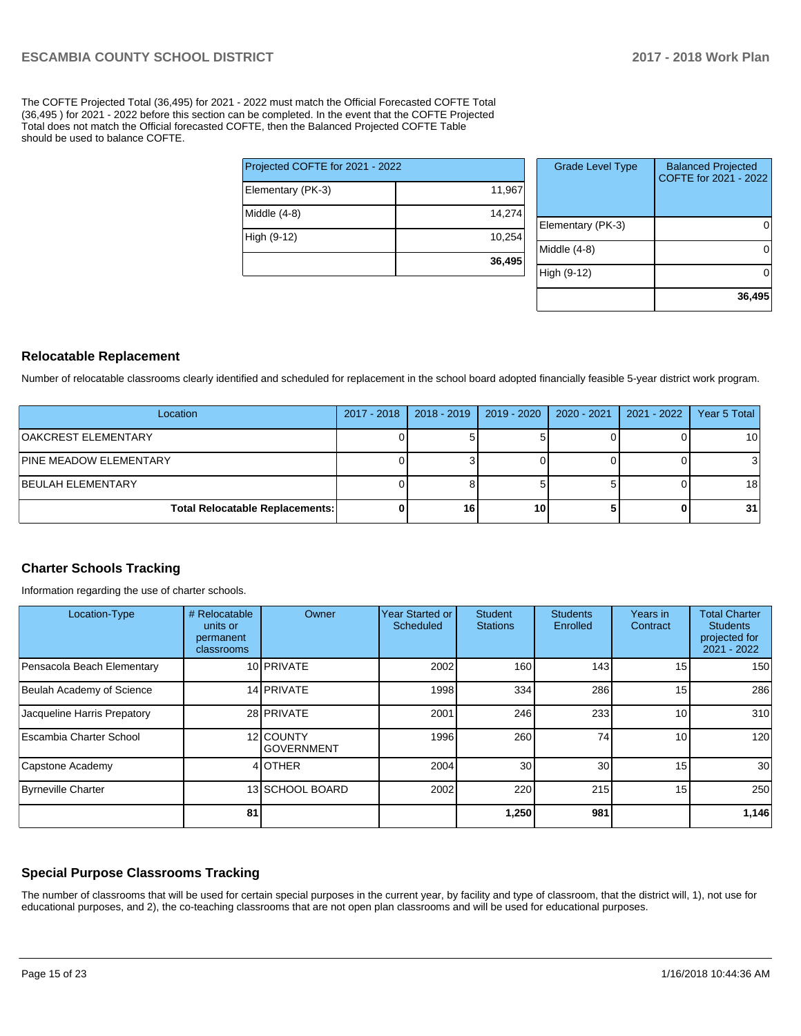The COFTE Projected Total (36,495) for 2021 - 2022 must match the Official Forecasted COFTE Total (36,495 ) for 2021 - 2022 before this section can be completed. In the event that the COFTE Projected Total does not match the Official forecasted COFTE, then the Balanced Projected COFTE Table should be used to balance COFTE.

|                                 | 36,495 |
|---------------------------------|--------|
| High (9-12)                     | 10,254 |
| Middle (4-8)                    | 14,274 |
| Elementary (PK-3)               | 11,967 |
| Projected COFTE for 2021 - 2022 |        |

| <b>Grade Level Type</b> | <b>Balanced Projected</b><br>COFTE for 2021 - 2022 |
|-------------------------|----------------------------------------------------|
| Elementary (PK-3)       |                                                    |
| Middle $(4-8)$          |                                                    |
| High (9-12)             |                                                    |
|                         | 36,495                                             |

### **Relocatable Replacement**

Number of relocatable classrooms clearly identified and scheduled for replacement in the school board adopted financially feasible 5-year district work program.

| Location                               | $2017 - 2018$ | $ 2018 - 2019 $ | 2019 - 2020 | 2020 - 2021 | 2021 - 2022 | Year 5 Total |
|----------------------------------------|---------------|-----------------|-------------|-------------|-------------|--------------|
| OAKCREST ELEMENTARY                    |               |                 |             |             |             | 10           |
| <b>PINE MEADOW ELEMENTARY</b>          |               |                 |             |             |             |              |
| IBEULAH ELEMENTARY                     |               |                 |             |             |             | 18           |
| <b>Total Relocatable Replacements:</b> |               | 16              | 10          |             |             | 31           |

## **Charter Schools Tracking**

Information regarding the use of charter schools.

| Location-Type               | # Relocatable<br>units or<br>permanent<br>classrooms | Owner                          | Year Started or<br>Scheduled | <b>Student</b><br><b>Stations</b> | <b>Students</b><br>Enrolled | Years in<br>Contract | <b>Total Charter</b><br><b>Students</b><br>projected for<br>2021 - 2022 |
|-----------------------------|------------------------------------------------------|--------------------------------|------------------------------|-----------------------------------|-----------------------------|----------------------|-------------------------------------------------------------------------|
| Pensacola Beach Elementary  |                                                      | 10 PRIVATE                     | 2002                         | 160                               | 143                         | 15                   | 150 <sup>1</sup>                                                        |
| Beulah Academy of Science   |                                                      | 14 PRIVATE                     | 1998                         | 334                               | 286                         | 15                   | 286                                                                     |
| Jacqueline Harris Prepatory |                                                      | 28 PRIVATE                     | 2001                         | 246                               | 233                         | 10                   | 310                                                                     |
| Escambia Charter School     |                                                      | 12 COUNTY<br><b>GOVERNMENT</b> | 1996                         | 260                               | 74                          | 10                   | 120                                                                     |
| Capstone Academy            |                                                      | 4 OTHER                        | 2004                         | 30                                | 30 <sup>1</sup>             | 15                   | 30 <sup>1</sup>                                                         |
| Byrneville Charter          |                                                      | 13 SCHOOL BOARD                | 2002                         | 220                               | 215                         | 15                   | 250                                                                     |
|                             | 81                                                   |                                |                              | 1,250                             | 981                         |                      | 1,146                                                                   |

## **Special Purpose Classrooms Tracking**

The number of classrooms that will be used for certain special purposes in the current year, by facility and type of classroom, that the district will, 1), not use for educational purposes, and 2), the co-teaching classrooms that are not open plan classrooms and will be used for educational purposes.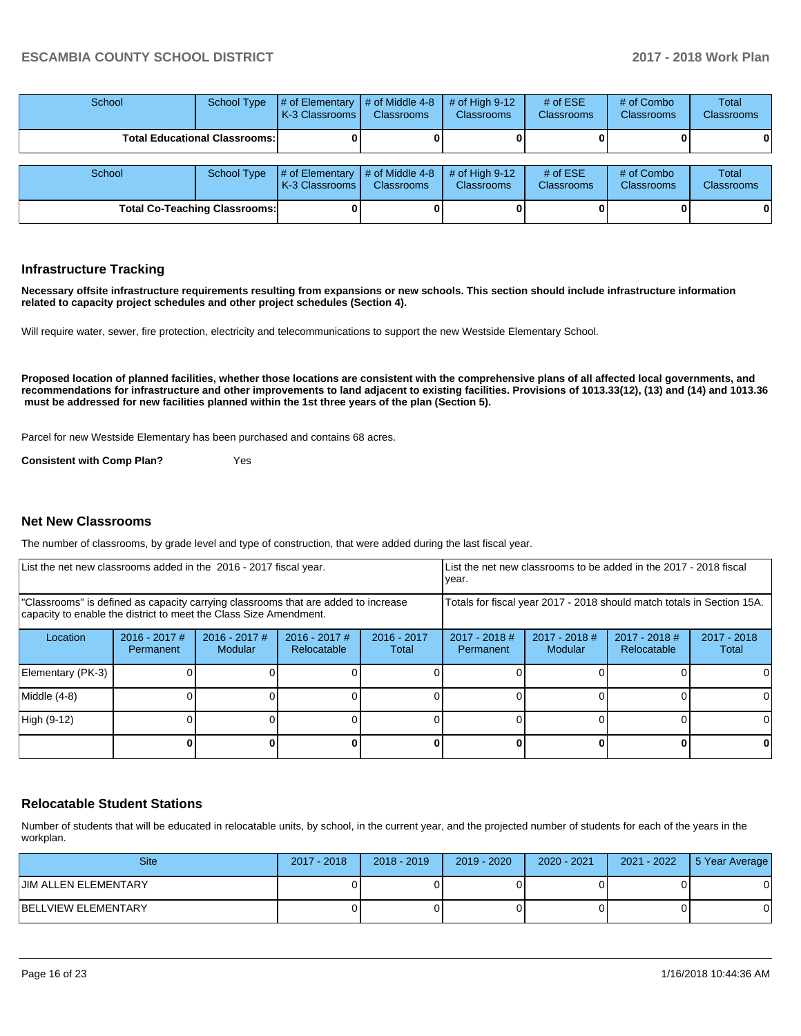| School | School Type                          | $\#$ of Elementary # of Middle 4-8<br><b>IK-3 Classrooms I</b> | <b>Classrooms</b> | # of High 9-12<br><b>Classrooms</b>   | # of $ESE$<br><b>Classrooms</b> | # of Combo<br><b>Classrooms</b> | Total<br>Classrooms |
|--------|--------------------------------------|----------------------------------------------------------------|-------------------|---------------------------------------|---------------------------------|---------------------------------|---------------------|
|        | <b>Total Educational Classrooms:</b> |                                                                |                   |                                       |                                 |                                 | 0                   |
| School | School Type                          | $\#$ of Elementary $\#$ of Middle 4-8<br><b>K-3 Classrooms</b> | <b>Classrooms</b> | # of High $9-12$<br><b>Classrooms</b> | # of $ESE$<br><b>Classrooms</b> | # of Combo<br>Classrooms        | Total<br>Classrooms |
|        | <b>Total Co-Teaching Classrooms:</b> |                                                                |                   |                                       |                                 |                                 | 0                   |

#### **Infrastructure Tracking**

**Necessary offsite infrastructure requirements resulting from expansions or new schools. This section should include infrastructure information related to capacity project schedules and other project schedules (Section 4).** 

Will require water, sewer, fire protection, electricity and telecommunications to support the new Westside Elementary School.

**Proposed location of planned facilities, whether those locations are consistent with the comprehensive plans of all affected local governments, and recommendations for infrastructure and other improvements to land adjacent to existing facilities. Provisions of 1013.33(12), (13) and (14) and 1013.36 must be addressed for new facilities planned within the 1st three years of the plan (Section 5).** 

Parcel for new Westside Elementary has been purchased and contains 68 acres.

**Consistent with Comp Plan?** Yes

#### **Net New Classrooms**

The number of classrooms, by grade level and type of construction, that were added during the last fiscal year.

| List the net new classrooms added in the 2016 - 2017 fiscal year.                                                                                       |                                     |                                   |                                | List the net new classrooms to be added in the 2017 - 2018 fiscal<br>year. |                              |                            |                                |                        |
|---------------------------------------------------------------------------------------------------------------------------------------------------------|-------------------------------------|-----------------------------------|--------------------------------|----------------------------------------------------------------------------|------------------------------|----------------------------|--------------------------------|------------------------|
| "Classrooms" is defined as capacity carrying classrooms that are added to increase<br>capacity to enable the district to meet the Class Size Amendment. |                                     |                                   |                                | Totals for fiscal year 2017 - 2018 should match totals in Section 15A.     |                              |                            |                                |                        |
| Location                                                                                                                                                | $2016 - 2017$ #<br><b>Permanent</b> | $2016 - 2017$ #<br><b>Modular</b> | $2016 - 2017$ #<br>Relocatable | $2016 - 2017$<br>Total                                                     | $2017 - 2018$ #<br>Permanent | $2017 - 2018$ #<br>Modular | $2017 - 2018$ #<br>Relocatable | $2017 - 2018$<br>Total |
| Elementary (PK-3)                                                                                                                                       |                                     |                                   |                                |                                                                            |                              |                            |                                | $\Omega$               |
| Middle (4-8)                                                                                                                                            |                                     |                                   |                                |                                                                            |                              |                            |                                | $\Omega$               |
| High (9-12)                                                                                                                                             |                                     |                                   |                                |                                                                            |                              |                            |                                | 0                      |
|                                                                                                                                                         |                                     |                                   |                                |                                                                            |                              |                            |                                | 0                      |

#### **Relocatable Student Stations**

Number of students that will be educated in relocatable units, by school, in the current year, and the projected number of students for each of the years in the workplan.

| <b>Site</b>          | $2017 - 2018$ | $2018 - 2019$ | $2019 - 2020$ | 2020 - 2021 | 2021 - 2022 | 5 Year Average |
|----------------------|---------------|---------------|---------------|-------------|-------------|----------------|
| UIM ALLEN ELEMENTARY |               |               |               |             |             |                |
| BELLVIEW ELEMENTARY  |               |               |               |             |             |                |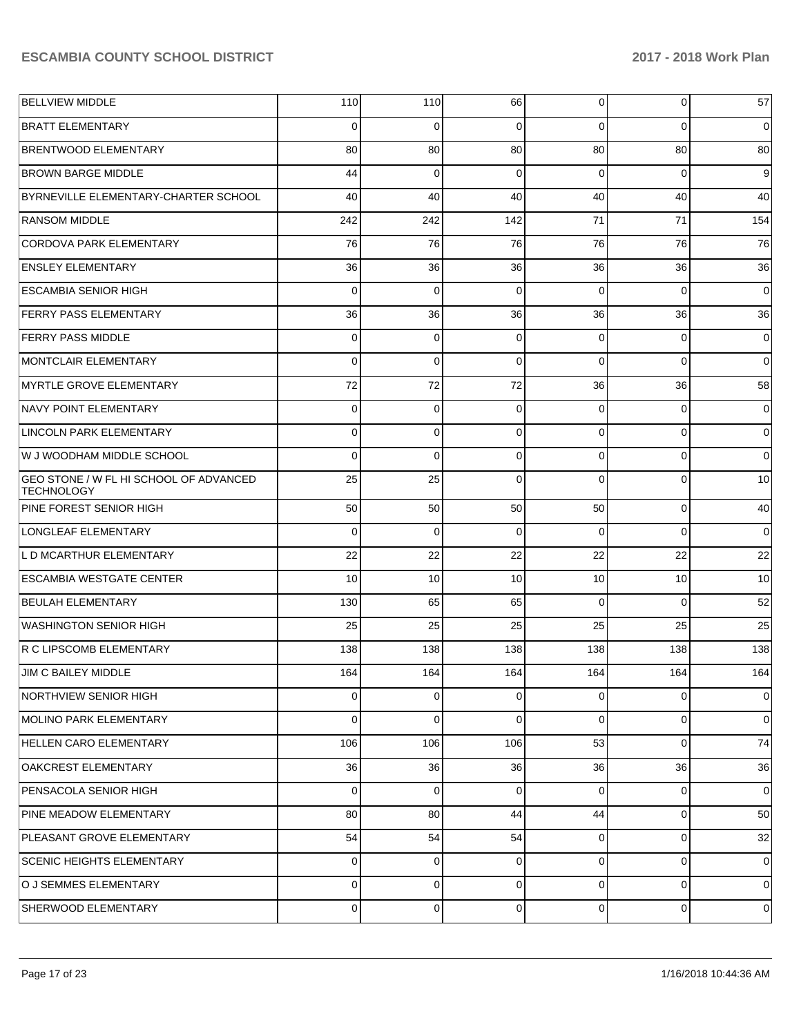| <b>BELLVIEW MIDDLE</b>                                      | 110            | 110         | 66          | $\overline{0}$  | 0        | 57              |
|-------------------------------------------------------------|----------------|-------------|-------------|-----------------|----------|-----------------|
| <b>BRATT ELEMENTARY</b>                                     | 0              | 0           | 0           | $\Omega$        | $\Omega$ | 0               |
| <b>BRENTWOOD ELEMENTARY</b>                                 | 80             | 80          | 80          | 80              | 80       | 80              |
| <b>BROWN BARGE MIDDLE</b>                                   | 44             | 0           | 0           | $\Omega$        | $\Omega$ | 9               |
| BYRNEVILLE ELEMENTARY-CHARTER SCHOOL                        | 40             | 40          | 40          | 40              | 40       | 40              |
| <b>RANSOM MIDDLE</b>                                        | 242            | 242         | 142         | 71              | 71       | 154             |
| <b>CORDOVA PARK ELEMENTARY</b>                              | 76             | 76          | 76          | 76              | 76       | 76              |
| <b>ENSLEY ELEMENTARY</b>                                    | 36             | 36          | 36          | 36              | 36       | 36              |
| <b>ESCAMBIA SENIOR HIGH</b>                                 | $\Omega$       | 0           | 0           | $\Omega$        | $\Omega$ | 0               |
| <b>FERRY PASS ELEMENTARY</b>                                | 36             | 36          | 36          | 36              | 36       | 36              |
| <b>FERRY PASS MIDDLE</b>                                    | $\Omega$       | 0           | 0           | $\Omega$        | 0        | 0               |
| MONTCLAIR ELEMENTARY                                        | $\Omega$       | $\mathbf 0$ | 0           | $\Omega$        | $\Omega$ | 0               |
| MYRTLE GROVE ELEMENTARY                                     | 72             | 72          | 72          | 36              | 36       | 58              |
| NAVY POINT ELEMENTARY                                       | 0              | $\mathbf 0$ | 0           | 0               | 0        | 0               |
| LINCOLN PARK ELEMENTARY                                     | $\Omega$       | 0           | 0           | $\Omega$        | $\Omega$ | 0               |
| W J WOODHAM MIDDLE SCHOOL                                   | $\Omega$       | $\mathbf 0$ | 0           | $\Omega$        | $\Omega$ | 0               |
| GEO STONE / W FL HI SCHOOL OF ADVANCED<br><b>TECHNOLOGY</b> | 25             | 25          | 0           | $\Omega$        | $\Omega$ | 10              |
| PINE FOREST SENIOR HIGH                                     | 50             | 50          | 50          | 50              | 0        | 40              |
| LONGLEAF ELEMENTARY                                         | $\mathbf 0$    | $\mathbf 0$ | $\Omega$    | $\Omega$        | $\Omega$ | $\mathbf 0$     |
| L D MCARTHUR ELEMENTARY                                     | 22             | 22          | 22          | 22              | 22       | 22              |
| <b>ESCAMBIA WESTGATE CENTER</b>                             | 10             | 10          | 10          | 10              | 10       | 10              |
| <b>BEULAH ELEMENTARY</b>                                    | 130            | 65          | 65          | $\Omega$        | $\Omega$ | 52              |
| WASHINGTON SENIOR HIGH                                      | 25             | 25          | 25          | 25              | 25       | 25              |
| R C LIPSCOMB ELEMENTARY                                     | 138            | 138         | 138         | 138             | 138      | 138             |
| JIM C BAILEY MIDDLE                                         | 164            | 164         | 164         | 164             | 164      | 164             |
| NORTHVIEW SENIOR HIGH                                       | $\Omega$       | 0           | $\Omega$    | $\overline{0}$  | 0        | $\overline{0}$  |
| MOLINO PARK ELEMENTARY                                      | $\Omega$       | $\mathbf 0$ | $\Omega$    | $\overline{0}$  | 0        | $\overline{0}$  |
| <b>HELLEN CARO ELEMENTARY</b>                               | 106            | 106         | 106         | 53              | $\Omega$ | 74              |
| OAKCREST ELEMENTARY                                         | 36             | 36          | 36          | 36 <sup>1</sup> | 36       | 36              |
| PENSACOLA SENIOR HIGH                                       | $\overline{0}$ | 0           | $\Omega$    | $\overline{0}$  | 0        | $\overline{0}$  |
| PINE MEADOW ELEMENTARY                                      | 80             | 80          | 44          | 44              | 0        | 50 <sub>1</sub> |
| PLEASANT GROVE ELEMENTARY                                   | 54             | 54          | 54          | $\overline{0}$  | 0        | 32              |
| <b>SCENIC HEIGHTS ELEMENTARY</b>                            | $\overline{0}$ | 0           | 0           | $\overline{0}$  | $\Omega$ | 0               |
| O J SEMMES ELEMENTARY                                       | $\overline{0}$ | 0           | 0           | $\overline{0}$  | 0        | 0               |
| SHERWOOD ELEMENTARY                                         | $\overline{0}$ | 0           | $\mathbf 0$ | $\overline{0}$  | 0        | 0               |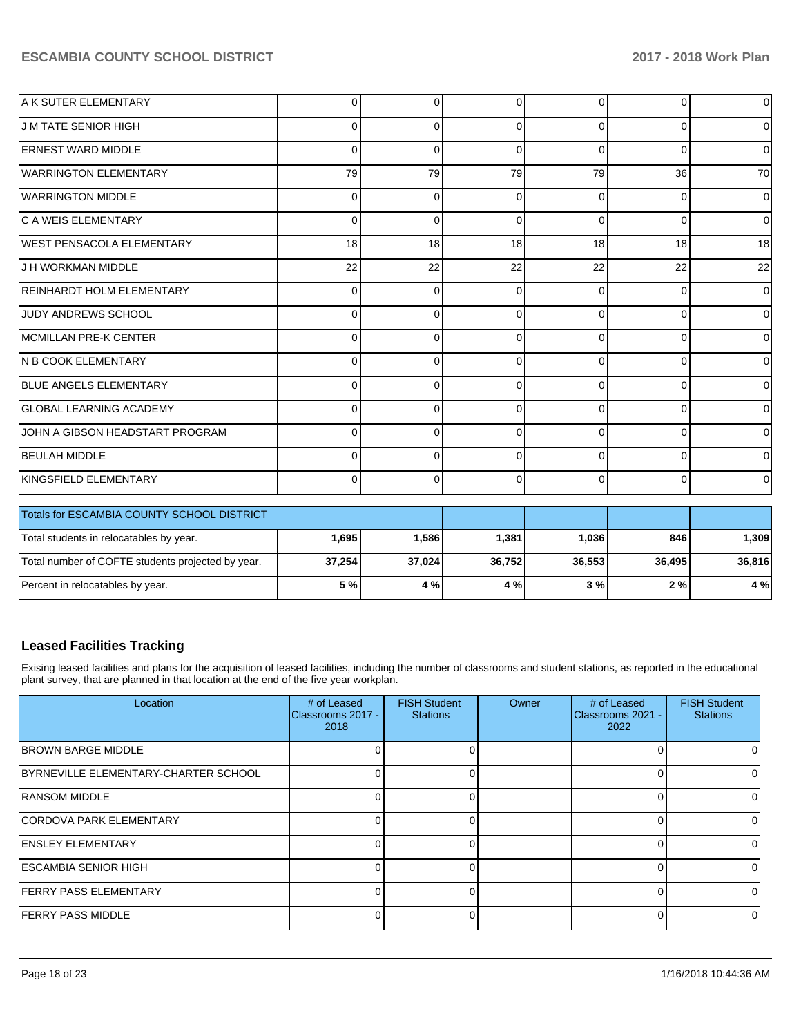| A K SUTER ELEMENTARY             | $\overline{0}$ | $\mathbf 0$ | $\Omega$ | $\Omega$ | $\Omega$       | $\overline{0}$ |
|----------------------------------|----------------|-------------|----------|----------|----------------|----------------|
| IJ M TATE SENIOR HIGH            | $\Omega$       | 0           | ∩        | $\Omega$ | $\Omega$       | $\overline{0}$ |
| <b>ERNEST WARD MIDDLE</b>        | 0              | $\Omega$    | 0        | $\Omega$ | $\Omega$       | $\overline{0}$ |
| <b>WARRINGTON ELEMENTARY</b>     | 79             | 79          | 79       | 79       | 36             | 70             |
| <b>WARRINGTON MIDDLE</b>         | 0              | $\Omega$    |          | $\Omega$ | $\Omega$       | $\overline{0}$ |
| <b>C A WEIS ELEMENTARY</b>       | 0              | $\Omega$    | 0        | $\Omega$ | $\Omega$       | $\overline{0}$ |
| WEST PENSACOLA ELEMENTARY        | 18             | 18          | 18       | 18       | 18             | 18             |
| <b>J H WORKMAN MIDDLE</b>        | 22             | 22          | 22       | 22       | 22             | 22             |
| <b>REINHARDT HOLM ELEMENTARY</b> | 0              | $\Omega$    | $\Omega$ | $\Omega$ | $\Omega$       | $\overline{0}$ |
| JUDY ANDREWS SCHOOL              | 0              | $\Omega$    |          | $\Omega$ | 0              | $\overline{0}$ |
| <b>IMCMILLAN PRE-K CENTER</b>    | 0              | $\Omega$    |          | $\Omega$ | 0              | $\overline{0}$ |
| <b>N B COOK ELEMENTARY</b>       | $\Omega$       | 0           | $\Omega$ | $\Omega$ | $\overline{0}$ | $\overline{0}$ |
| <b>BLUE ANGELS ELEMENTARY</b>    | $\Omega$       | $\Omega$    | $\Omega$ | $\Omega$ | 0              | $\overline{0}$ |
| <b>GLOBAL LEARNING ACADEMY</b>   | 0              | 0           | ∩        | $\Omega$ | 0              | $\overline{0}$ |
| UOHN A GIBSON HEADSTART PROGRAM  | 0              | $\Omega$    | $\Omega$ | $\Omega$ | $\Omega$       | $\overline{0}$ |
| <b>BEULAH MIDDLE</b>             | 0              | $\Omega$    |          | $\Omega$ | 0              | $\overline{0}$ |
| KINGSFIELD ELEMENTARY            | $\Omega$       | $\Omega$    | 0        | $\Omega$ | $\Omega$       | $\overline{0}$ |

| <b>Totals for ESCAMBIA COUNTY SCHOOL DISTRICT</b> |        |        |        |        |        |        |
|---------------------------------------------------|--------|--------|--------|--------|--------|--------|
| Total students in relocatables by year.           | .695   | 1,586  | 1,381  | 1,036  | 846 l  | 1.309  |
| Total number of COFTE students projected by year. | 37,254 | 37,024 | 36,752 | 36.553 | 36.495 | 36.816 |
| Percent in relocatables by year.                  | 5 %    | 4 %    | 4 % l  | 3%     | 2%     | 4 %    |

## **Leased Facilities Tracking**

Exising leased facilities and plans for the acquisition of leased facilities, including the number of classrooms and student stations, as reported in the educational plant survey, that are planned in that location at the end of the five year workplan.

| Location                             | # of Leased<br>Classrooms 2017 -<br>2018 | <b>FISH Student</b><br><b>Stations</b> | Owner | # of Leased<br>Classrooms 2021 -<br>2022 | <b>FISH Student</b><br><b>Stations</b> |
|--------------------------------------|------------------------------------------|----------------------------------------|-------|------------------------------------------|----------------------------------------|
| <b>BROWN BARGE MIDDLE</b>            |                                          |                                        |       |                                          |                                        |
| BYRNEVILLE ELEMENTARY-CHARTER SCHOOL |                                          |                                        |       |                                          |                                        |
| <b>RANSOM MIDDLE</b>                 |                                          |                                        |       |                                          |                                        |
| <b>CORDOVA PARK ELEMENTARY</b>       |                                          |                                        |       |                                          |                                        |
| <b>ENSLEY ELEMENTARY</b>             |                                          |                                        |       |                                          | 0                                      |
| <b>ESCAMBIA SENIOR HIGH</b>          |                                          |                                        |       |                                          | 0                                      |
| <b>FERRY PASS ELEMENTARY</b>         |                                          |                                        |       |                                          | 0                                      |
| <b>FERRY PASS MIDDLE</b>             |                                          |                                        |       |                                          | $\Omega$                               |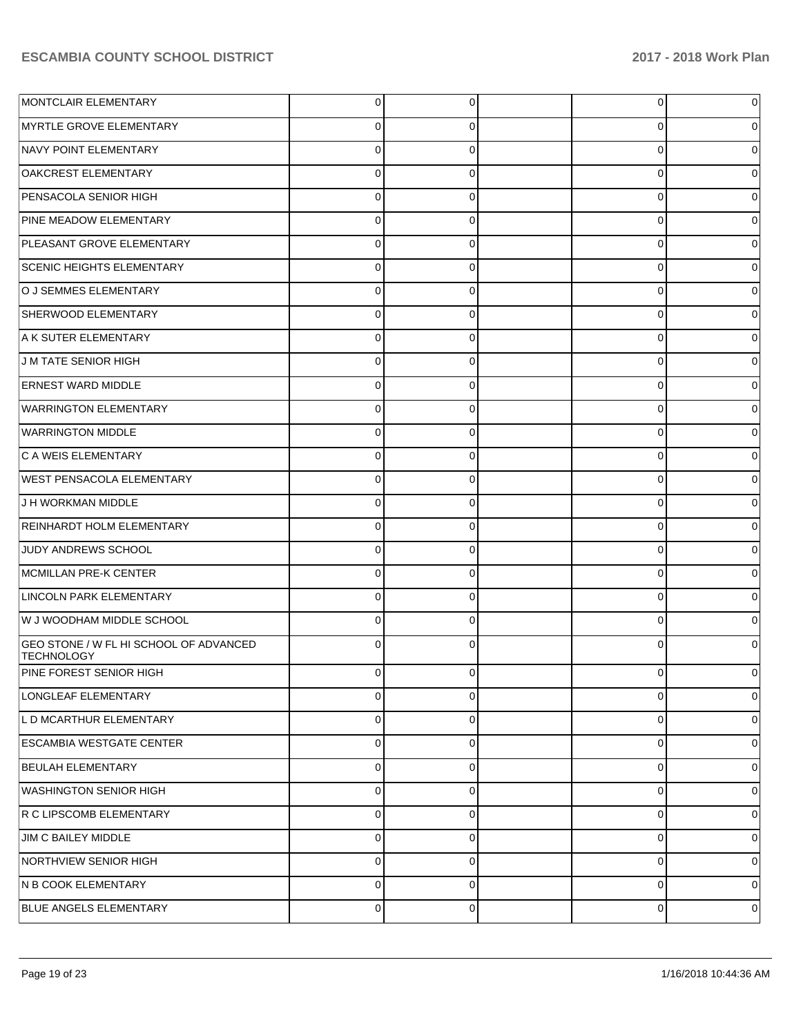| MONTCLAIR ELEMENTARY                                        | 0           | 0        | $\overline{0}$ | 0           |
|-------------------------------------------------------------|-------------|----------|----------------|-------------|
| MYRTLE GROVE ELEMENTARY                                     | 0           | 0        | 0              | 0           |
| NAVY POINT ELEMENTARY                                       | $\mathbf 0$ | 0        | 0              | 0           |
| OAKCREST ELEMENTARY                                         | 0           | 0        | 0              | 0           |
| PENSACOLA SENIOR HIGH                                       | 0           | 0        | 0              | 0           |
| PINE MEADOW ELEMENTARY                                      | 0           | 0        | 0              | 0           |
| PLEASANT GROVE ELEMENTARY                                   | 0           | 0        | 0              | 0           |
| <b>SCENIC HEIGHTS ELEMENTARY</b>                            | 0           | 0        | 0              | 0           |
| O J SEMMES ELEMENTARY                                       | 0           | 0        | 0              | 0           |
| SHERWOOD ELEMENTARY                                         | 0           | 0        | 0              | 0           |
| A K SUTER ELEMENTARY                                        | 0           | 0        | 0              | 0           |
| <b>J M TATE SENIOR HIGH</b>                                 | 0           | 0        | 0              | 0           |
| <b>ERNEST WARD MIDDLE</b>                                   | 0           | 0        | 0              | 0           |
| <b>WARRINGTON ELEMENTARY</b>                                | 0           | 0        | 0              | 0           |
| <b>WARRINGTON MIDDLE</b>                                    | 0           | 0        | 0              | 0           |
| C A WEIS ELEMENTARY                                         | 0           | 0        | 0              | 0           |
| <b>WEST PENSACOLA ELEMENTARY</b>                            | 0           | 0        | 0              | 0           |
| J H WORKMAN MIDDLE                                          | 0           | 0        | 0              | 0           |
| REINHARDT HOLM ELEMENTARY                                   | 0           | 0        | 0              | 0           |
| JUDY ANDREWS SCHOOL                                         | 0           | 0        | 0              | 0           |
| MCMILLAN PRE-K CENTER                                       | 0           | 0        | 0              | 0           |
| <b>LINCOLN PARK ELEMENTARY</b>                              | 0           | 0        | 0              | 0           |
| W J WOODHAM MIDDLE SCHOOL                                   | 0           | 0        | 0              | 0           |
| GEO STONE / W FL HI SCHOOL OF ADVANCED<br><b>TECHNOLOGY</b> | $\Omega$    | 0        | 0              | 0           |
| PINE FOREST SENIOR HIGH                                     | $\Omega$    | 0        | 0              | 0           |
| LONGLEAF ELEMENTARY                                         | 0           | $\Omega$ | $\overline{0}$ | $\mathbf 0$ |
| L D MCARTHUR ELEMENTARY                                     | $\mathbf 0$ | $\Omega$ | $\mathbf 0$    | 0           |
| <b>ESCAMBIA WESTGATE CENTER</b>                             | 0           | $\Omega$ | $\mathbf 0$    | $\Omega$    |
| <b>BEULAH ELEMENTARY</b>                                    | $\mathbf 0$ | $\Omega$ | $\overline{0}$ | 0           |
| <b>WASHINGTON SENIOR HIGH</b>                               | 0           | $\Omega$ | $\mathbf 0$    | $\Omega$    |
| R C LIPSCOMB ELEMENTARY                                     | $\mathbf 0$ | $\Omega$ | $\mathbf 0$    | 0           |
| JIM C BAILEY MIDDLE                                         | $\mathbf 0$ | $\Omega$ | 0              | 0           |
| NORTHVIEW SENIOR HIGH                                       | $\mathbf 0$ | $\Omega$ | $\mathbf{0}$   | 0           |
| N B COOK ELEMENTARY                                         | 0           | $\Omega$ | $\mathbf 0$    | 0           |
| BLUE ANGELS ELEMENTARY                                      | $\mathbf 0$ | 0        | $\mathbf 0$    | 0           |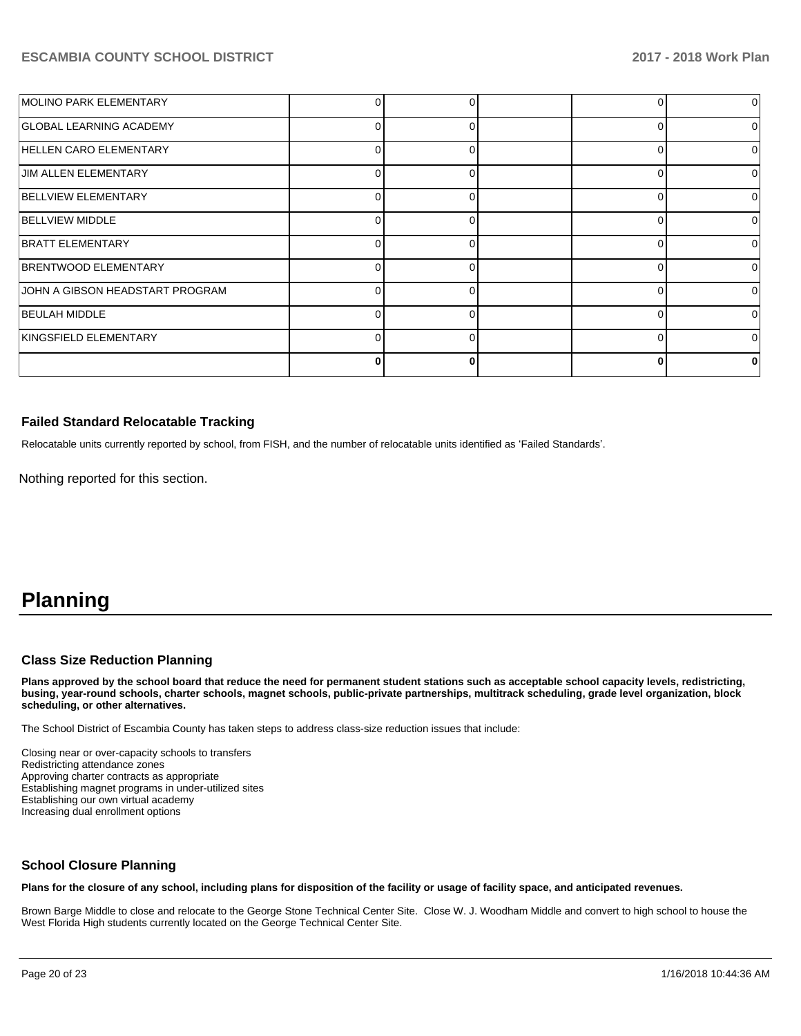| MOLINO PARK ELEMENTARY          |   |  |          | $\Omega$ |
|---------------------------------|---|--|----------|----------|
| <b>GLOBAL LEARNING ACADEMY</b>  |   |  | O        | ΩI       |
| HELLEN CARO ELEMENTARY          | ∩ |  | $\Omega$ | $\Omega$ |
| <b>JIM ALLEN ELEMENTARY</b>     |   |  | O        | $\Omega$ |
| <b>BELLVIEW ELEMENTARY</b>      |   |  | $\Omega$ | $\Omega$ |
| <b>BELLVIEW MIDDLE</b>          |   |  | O        | 0        |
| <b>BRATT ELEMENTARY</b>         |   |  | 0        | 0        |
| <b>BRENTWOOD ELEMENTARY</b>     | 0 |  | $\Omega$ | 0        |
| JOHN A GIBSON HEADSTART PROGRAM |   |  | O        | $\Omega$ |
| <b>BEULAH MIDDLE</b>            |   |  | C        | $\Omega$ |
| KINGSFIELD ELEMENTARY           |   |  |          | $\Omega$ |
|                                 |   |  |          | o        |

## **Failed Standard Relocatable Tracking**

Relocatable units currently reported by school, from FISH, and the number of relocatable units identified as 'Failed Standards'.

Nothing reported for this section.

# **Planning**

## **Class Size Reduction Planning**

**Plans approved by the school board that reduce the need for permanent student stations such as acceptable school capacity levels, redistricting, busing, year-round schools, charter schools, magnet schools, public-private partnerships, multitrack scheduling, grade level organization, block scheduling, or other alternatives.**

The School District of Escambia County has taken steps to address class-size reduction issues that include:

Closing near or over-capacity schools to transfers Redistricting attendance zones Approving charter contracts as appropriate Establishing magnet programs in under-utilized sites Establishing our own virtual academy Increasing dual enrollment options

### **School Closure Planning**

**Plans for the closure of any school, including plans for disposition of the facility or usage of facility space, and anticipated revenues.** 

Brown Barge Middle to close and relocate to the George Stone Technical Center Site. Close W. J. Woodham Middle and convert to high school to house the West Florida High students currently located on the George Technical Center Site.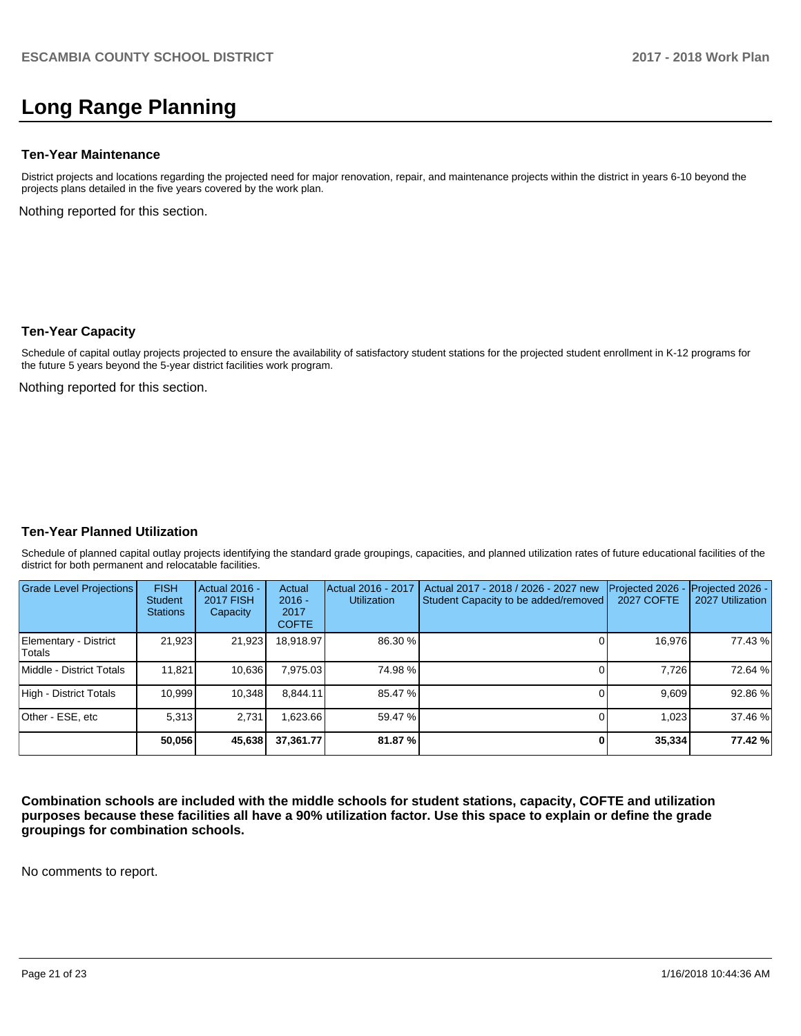# **Long Range Planning**

### **Ten-Year Maintenance**

District projects and locations regarding the projected need for major renovation, repair, and maintenance projects within the district in years 6-10 beyond the projects plans detailed in the five years covered by the work plan.

Nothing reported for this section.

### **Ten-Year Capacity**

Schedule of capital outlay projects projected to ensure the availability of satisfactory student stations for the projected student enrollment in K-12 programs for the future 5 years beyond the 5-year district facilities work program.

Nothing reported for this section.

## **Ten-Year Planned Utilization**

Schedule of planned capital outlay projects identifying the standard grade groupings, capacities, and planned utilization rates of future educational facilities of the district for both permanent and relocatable facilities.

| <b>Grade Level Projections</b>  | <b>FISH</b><br><b>Student</b><br><b>Stations</b> | Actual 2016 -<br><b>2017 FISH</b><br>Capacity | Actual<br>$2016 -$<br>2017<br><b>COFTE</b> | Actual 2016 - 2017<br><b>Utilization</b> | Actual 2017 - 2018 / 2026 - 2027 new<br>Student Capacity to be added/removed | Projected 2026<br><b>2027 COFTE</b> | Projected 2026 -<br>2027 Utilization |
|---------------------------------|--------------------------------------------------|-----------------------------------------------|--------------------------------------------|------------------------------------------|------------------------------------------------------------------------------|-------------------------------------|--------------------------------------|
| Elementary - District<br>Totals | 21,923                                           | 21,923                                        | 18,918.97                                  | 86.30 %                                  |                                                                              | 16,976                              | 77.43 %                              |
| Middle - District Totals        | 11,821                                           | 10,636                                        | 7.975.03                                   | 74.98%                                   |                                                                              | 7.726                               | 72.64 %                              |
| High - District Totals          | 10.999                                           | 10.348                                        | 8.844.11                                   | 85.47 %                                  |                                                                              | 9.609                               | 92.86%                               |
| Other - ESE, etc                | 5.313                                            | 2.731                                         | .623.66                                    | 59.47 %                                  |                                                                              | 1,023                               | 37.46 %                              |
|                                 | 50,056                                           | 45,638                                        | 37.361.77                                  | 81.87%                                   |                                                                              | 35,334                              | 77.42 %                              |

**Combination schools are included with the middle schools for student stations, capacity, COFTE and utilization purposes because these facilities all have a 90% utilization factor. Use this space to explain or define the grade groupings for combination schools.** 

No comments to report.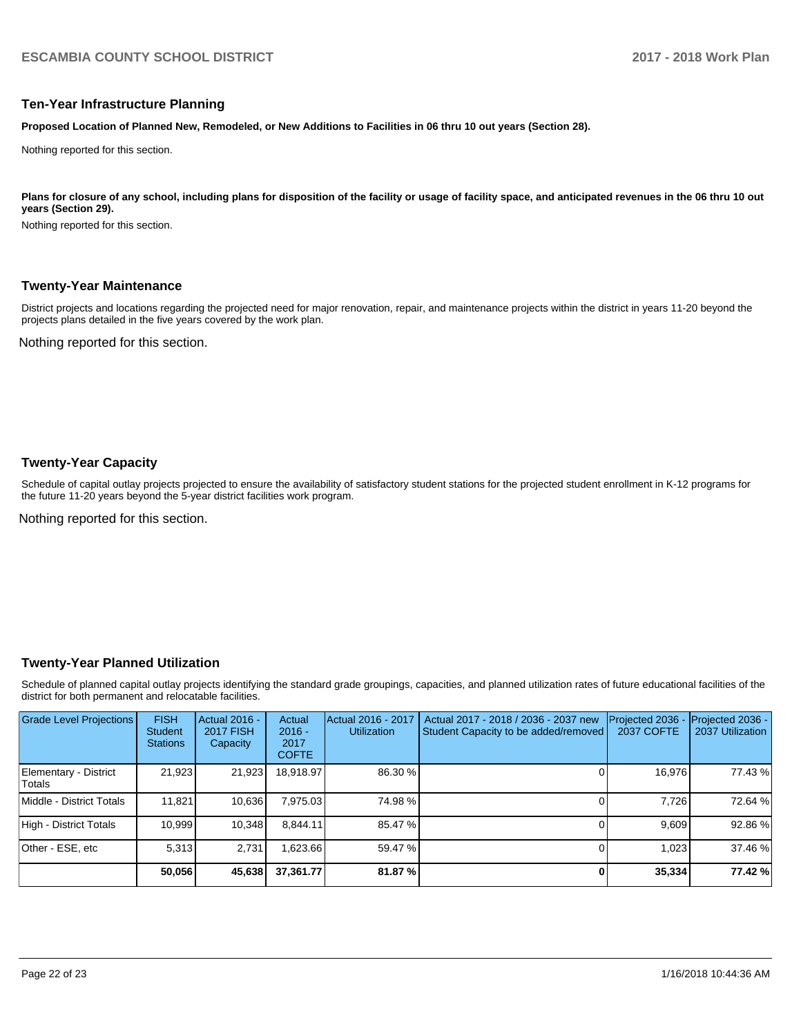### **Ten-Year Infrastructure Planning**

**Proposed Location of Planned New, Remodeled, or New Additions to Facilities in 06 thru 10 out years (Section 28).**

Nothing reported for this section.

#### Plans for closure of any school, including plans for disposition of the facility or usage of facility space, and anticipated revenues in the 06 thru 10 out **years (Section 29).**

Nothing reported for this section.

#### **Twenty-Year Maintenance**

District projects and locations regarding the projected need for major renovation, repair, and maintenance projects within the district in years 11-20 beyond the projects plans detailed in the five years covered by the work plan.

Nothing reported for this section.

### **Twenty-Year Capacity**

Schedule of capital outlay projects projected to ensure the availability of satisfactory student stations for the projected student enrollment in K-12 programs for the future 11-20 years beyond the 5-year district facilities work program.

Nothing reported for this section.

## **Twenty-Year Planned Utilization**

Schedule of planned capital outlay projects identifying the standard grade groupings, capacities, and planned utilization rates of future educational facilities of the district for both permanent and relocatable facilities.

| <b>Grade Level Projections</b>  | <b>FISH</b><br><b>Student</b><br><b>Stations</b> | <b>Actual 2016 -</b><br><b>2017 FISH</b><br>Capacity | Actual<br>$2016 -$<br>2017<br><b>COFTE</b> | Actual 2016 - 2017<br><b>Utilization</b> | Actual 2017 - 2018 / 2036 - 2037 new<br>Student Capacity to be added/removed | Projected 2036<br>2037 COFTE | Projected 2036 -<br>2037 Utilization |
|---------------------------------|--------------------------------------------------|------------------------------------------------------|--------------------------------------------|------------------------------------------|------------------------------------------------------------------------------|------------------------------|--------------------------------------|
| Elementary - District<br>Totals | 21.923                                           | 21,923                                               | 18.918.97                                  | 86.30 %                                  |                                                                              | 16.976                       | 77.43 %                              |
| Middle - District Totals        | 11,821                                           | 10,636                                               | 7,975.03                                   | 74.98%                                   |                                                                              | 7.726                        | 72.64 %                              |
| High - District Totals          | 10.999                                           | 10,348                                               | 8.844.11                                   | 85.47 %                                  |                                                                              | 9.609                        | 92.86%                               |
| Other - ESE. etc                | 5.313                                            | 2.731                                                | .623.66                                    | 59.47 %                                  |                                                                              | 1.023                        | 37.46 %                              |
|                                 | 50,056                                           | 45,638                                               | 37.361.77                                  | 81.87%                                   |                                                                              | 35,334                       | 77.42 %                              |